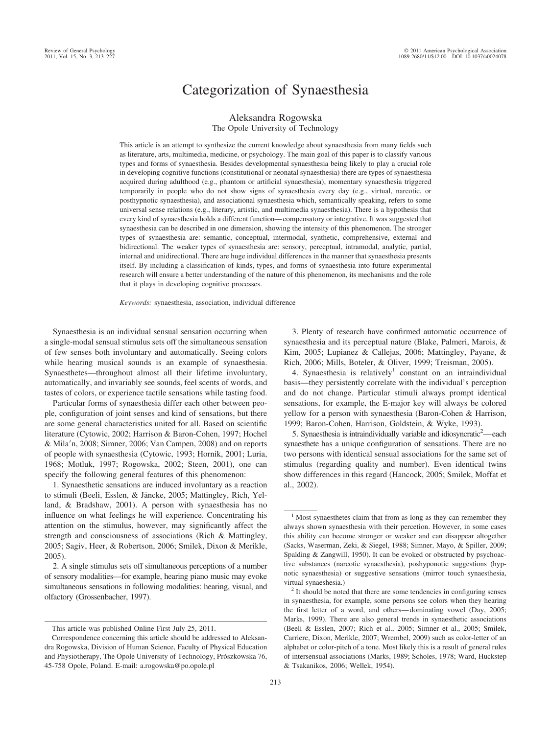# Categorization of Synaesthesia

## Aleksandra Rogowska The Opole University of Technology

This article is an attempt to synthesize the current knowledge about synaesthesia from many fields such as literature, arts, multimedia, medicine, or psychology. The main goal of this paper is to classify various types and forms of synaesthesia. Besides developmental synaesthesia being likely to play a crucial role in developing cognitive functions (constitutional or neonatal synaesthesia) there are types of synaesthesia acquired during adulthood (e.g., phantom or artificial synaesthesia), momentary synaesthesia triggered temporarily in people who do not show signs of synaesthesia every day (e.g., virtual, narcotic, or posthypnotic synaesthesia), and associational synaesthesia which, semantically speaking, refers to some universal sense relations (e.g., literary, artistic, and multimedia synaesthesia). There is a hypothesis that every kind of synaesthesia holds a different function— compensatory or integrative. It was suggested that synaesthesia can be described in one dimension, showing the intensity of this phenomenon. The stronger types of synaesthesia are: semantic, conceptual, intermodal, synthetic, comprehensive, external and bidirectional. The weaker types of synaesthesia are: sensory, perceptual, intramodal, analytic, partial, internal and unidirectional. There are huge individual differences in the manner that synaesthesia presents itself. By including a classification of kinds, types, and forms of synaesthesia into future experimental research will ensure a better understanding of the nature of this phenomenon, its mechanisms and the role that it plays in developing cognitive processes.

*Keywords:* synaesthesia, association, individual difference

Synaesthesia is an individual sensual sensation occurring when a single-modal sensual stimulus sets off the simultaneous sensation of few senses both involuntary and automatically. Seeing colors while hearing musical sounds is an example of synaesthesia. Synaesthetes—throughout almost all their lifetime involuntary, automatically, and invariably see sounds, feel scents of words, and tastes of colors, or experience tactile sensations while tasting food.

Particular forms of synaesthesia differ each other between people, configuration of joint senses and kind of sensations, but there are some general characteristics united for all. Based on scientific literature (Cytowic, 2002; Harrison & Baron-Cohen, 1997; Hochel & Mila'n, 2008; Simner, 2006; Van Campen, 2008) and on reports of people with synaesthesia (Cytowic, 1993; Hornik, 2001; Luria, 1968; Motluk, 1997; Rogowska, 2002; Steen, 2001), one can specify the following general features of this phenomenon:

1. Synaesthetic sensations are induced involuntary as a reaction to stimuli (Beeli, Esslen, & Jäncke, 2005; Mattingley, Rich, Yelland, & Bradshaw, 2001). A person with synaesthesia has no influence on what feelings he will experience. Concentrating his attention on the stimulus, however, may significantly affect the strength and consciousness of associations (Rich & Mattingley, 2005; Sagiv, Heer, & Robertson, 2006; Smilek, Dixon & Merikle, 2005).

2. A single stimulus sets off simultaneous perceptions of a number of sensory modalities—for example, hearing piano music may evoke simultaneous sensations in following modalities: hearing, visual, and olfactory (Grossenbacher, 1997).

3. Plenty of research have confirmed automatic occurrence of synaesthesia and its perceptual nature (Blake, Palmeri, Marois, & Kim, 2005; Lupianez & Callejas, 2006; Mattingley, Payane, & Rich, 2006; Mills, Boteler, & Oliver, 1999; Treisman, 2005).

4. Synaesthesia is relatively<sup>1</sup> constant on an intraindividual basis—they persistently correlate with the individual's perception and do not change. Particular stimuli always prompt identical sensations, for example, the E-major key will always be colored yellow for a person with synaesthesia (Baron-Cohen & Harrison, 1999; Baron-Cohen, Harrison, Goldstein, & Wyke, 1993).

5. Synaesthesia is intraindividually variable and idiosyncratic<sup>2</sup>—each synaesthete has a unique configuration of sensations. There are no two persons with identical sensual associations for the same set of stimulus (regarding quality and number). Even identical twins show differences in this regard (Hancock, 2005; Smilek, Moffat et al., 2002).

This article was published Online First July 25, 2011.

Correspondence concerning this article should be addressed to Aleksandra Rogowska, Division of Human Science, Faculty of Physical Education and Physiotherapy, The Opole University of Technology, Prószkowska 76, 45-758 Opole, Poland. E-mail: a.rogowska@po.opole.pl

<sup>&</sup>lt;sup>1</sup> Most synaesthetes claim that from as long as they can remember they always shown synaesthesia with their percetion. However, in some cases this ability can become stronger or weaker and can disappear altogether (Sacks, Waserman, Zeki, & Siegel, 1988; Simner, Mayo, & Spiller, 2009; Spalding & Zangwill, 1950). It can be evoked or obstructed by psychoactive substances (narcotic synaesthesia), poshyponotic suggestions (hypnotic synaesthesia) or suggestive sensations (mirror touch synaesthesia, virtual synaeshesia.)

<sup>2</sup> It should be noted that there are some tendencies in configuring senses in synaesthesia, for example, some persons see colors when they hearing the first letter of a word, and others— dominating vowel (Day, 2005; Marks, 1999). There are also general trends in synaesthetic associations (Beeli & Esslen, 2007; Rich et al., 2005; Simner et al., 2005; Smilek, Carriere, Dixon, Merikle, 2007; Wrembel, 2009) such as color-letter of an alphabet or color-pitch of a tone. Most likely this is a result of general rules of intersensual associations (Marks, 1989; Scholes, 1978; Ward, Huckstep & Tsakanikos, 2006; Wellek, 1954).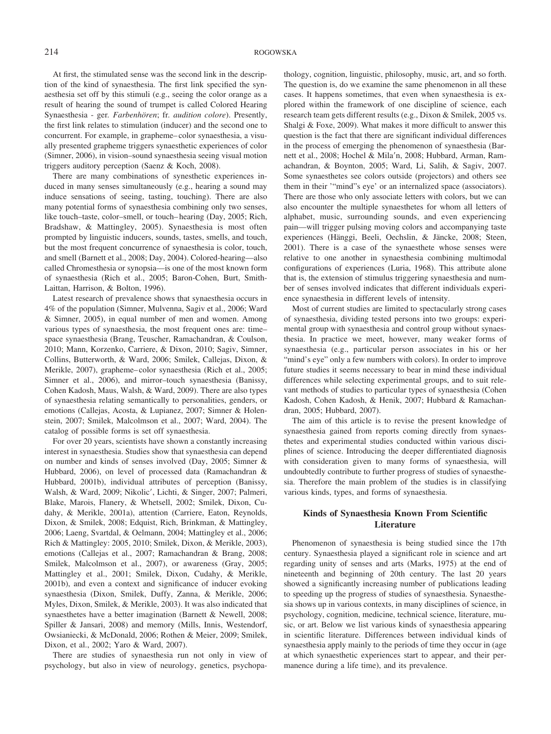## 214 ROGOWSKA

At first, the stimulated sense was the second link in the description of the kind of synaesthesia. The first link specified the synaesthesia set off by this stimuli (e.g., seeing the color orange as a result of hearing the sound of trumpet is called Colored Hearing Synaesthesia - ger*. Farbenhören*; fr*. audition colore*). Presently, the first link relates to stimulation (inducer) and the second one to concurrent. For example, in grapheme– color synaesthesia, a visually presented grapheme triggers synaesthetic experiences of color (Simner, 2006), in vision–sound synaesthesia seeing visual motion triggers auditory perception (Saenz & Koch, 2008).

There are many combinations of synesthetic experiences induced in many senses simultaneously (e.g., hearing a sound may induce sensations of seeing, tasting, touching). There are also many potential forms of synaesthesia combining only two senses, like touch–taste, color–smell, or touch– hearing (Day, 2005; Rich, Bradshaw, & Mattingley, 2005). Synaesthesia is most often prompted by linguistic inducers, sounds, tastes, smells, and touch, but the most frequent concurrence of synaesthesia is color, touch, and smell (Barnett et al., 2008; Day, 2004). Colored-hearing—also called Chromesthesia or synopsia—is one of the most known form of synaesthesia (Rich et al., 2005; Baron-Cohen, Burt, Smith-Laittan, Harrison, & Bolton, 1996).

Latest research of prevalence shows that synaesthesia occurs in 4% of the population (Simner, Mulvenna, Sagiv et al., 2006; Ward & Simner, 2005), in equal number of men and women. Among various types of synaesthesia, the most frequent ones are: time– space synaesthesia (Brang, Teuscher, Ramachandran, & Coulson, 2010; Mann, Korzenko, Carriere, & Dixon, 2010; Sagiv, Simner, Collins, Butterworth, & Ward, 2006; Smilek, Callejas, Dixon, & Merikle, 2007), grapheme– color synaesthesia (Rich et al., 2005; Simner et al., 2006), and mirror–touch synaesthesia (Banissy, Cohen Kadosh, Maus, Walsh, & Ward, 2009). There are also types of synaesthesia relating semantically to personalities, genders, or emotions (Callejas, Acosta, & Lupianez, 2007; Simner & Holenstein, 2007; Smilek, Malcolmson et al., 2007; Ward, 2004). The catalog of possible forms is set off synaesthesia.

For over 20 years, scientists have shown a constantly increasing interest in synaesthesia. Studies show that synaesthesia can depend on number and kinds of senses involved (Day, 2005; Simner & Hubbard, 2006), on level of processed data (Ramachandran & Hubbard, 2001b), individual attributes of perception (Banissy, Walsh, & Ward, 2009; Nikolic', Lichti, & Singer, 2007; Palmeri, Blake, Marois, Flanery, & Whetsell, 2002; Smilek, Dixon, Cudahy, & Merikle, 2001a), attention (Carriere, Eaton, Reynolds, Dixon, & Smilek, 2008; Edquist, Rich, Brinkman, & Mattingley, 2006; Laeng, Svartdal, & Oelmann, 2004; Mattingley et al., 2006; Rich & Mattingley: 2005, 2010; Smilek, Dixon, & Merikle, 2003), emotions (Callejas et al., 2007; Ramachandran & Brang, 2008; Smilek, Malcolmson et al., 2007), or awareness (Gray, 2005; Mattingley et al., 2001; Smilek, Dixon, Cudahy, & Merikle, 2001b), and even a context and significance of inducer evoking synaesthesia (Dixon, Smilek, Duffy, Zanna, & Merikle, 2006; Myles, Dixon, Smilek, & Merikle, 2003). It was also indicated that synaesthetes have a better imagination (Barnett & Newell, 2008; Spiller & Jansari, 2008) and memory (Mills, Innis, Westendorf, Owsianiecki, & McDonald, 2006; Rothen & Meier, 2009; Smilek, Dixon, et al., 2002; Yaro & Ward, 2007).

There are studies of synaesthesia run not only in view of psychology, but also in view of neurology, genetics, psychopathology, cognition, linguistic, philosophy, music, art, and so forth. The question is, do we examine the same phenomenon in all these cases. It happens sometimes, that even when synaesthesia is explored within the framework of one discipline of science, each research team gets different results (e.g., Dixon & Smilek, 2005 vs. Shalgi & Foxe, 2009). What makes it more difficult to answer this question is the fact that there are significant individual differences in the process of emerging the phenomenon of synaesthesia (Barnett et al., 2008; Hochel & Mila'n, 2008; Hubbard, Arman, Ramachandran, & Boynton, 2005; Ward, Li, Salih, & Sagiv, 2007. Some synaesthetes see colors outside (projectors) and others see them in their '"mind"s eye' or an internalized space (associators). There are those who only associate letters with colors, but we can also encounter the multiple synaesthetes for whom all letters of alphabet, music, surrounding sounds, and even experiencing pain—will trigger pulsing moving colors and accompanying taste experiences (Hänggi, Beeli, Oechslin, & Jäncke, 2008; Steen, 2001). There is a case of the synaesthete whose senses were relative to one another in synaesthesia combining multimodal configurations of experiences (Luria, 1968). This attribute alone that is, the extension of stimulus triggering synaesthesia and number of senses involved indicates that different individuals experience synaesthesia in different levels of intensity.

Most of current studies are limited to spectacularly strong cases of synaesthesia, dividing tested persons into two groups: experimental group with synaesthesia and control group without synaesthesia. In practice we meet, however, many weaker forms of synaesthesia (e.g., particular person associates in his or her "mind's eye" only a few numbers with colors). In order to improve future studies it seems necessary to bear in mind these individual differences while selecting experimental groups, and to suit relevant methods of studies to particular types of synaesthesia (Cohen Kadosh, Cohen Kadosh, & Henik, 2007; Hubbard & Ramachandran, 2005; Hubbard, 2007).

The aim of this article is to revise the present knowledge of synaesthesia gained from reports coming directly from synaesthetes and experimental studies conducted within various disciplines of science. Introducing the deeper differentiated diagnosis with consideration given to many forms of synaesthesia, will undoubtedly contribute to further progress of studies of synaesthesia. Therefore the main problem of the studies is in classifying various kinds, types, and forms of synaesthesia.

## **Kinds of Synaesthesia Known From Scientific Literature**

Phenomenon of synaesthesia is being studied since the 17th century. Synaesthesia played a significant role in science and art regarding unity of senses and arts (Marks, 1975) at the end of nineteenth and beginning of 20th century. The last 20 years showed a significantly increasing number of publications leading to speeding up the progress of studies of synaesthesia. Synaesthesia shows up in various contexts, in many disciplines of science, in psychology, cognition, medicine, technical science, literature, music, or art. Below we list various kinds of synaesthesia appearing in scientific literature. Differences between individual kinds of synaesthesia apply mainly to the periods of time they occur in (age at which synaesthetic experiences start to appear, and their permanence during a life time), and its prevalence.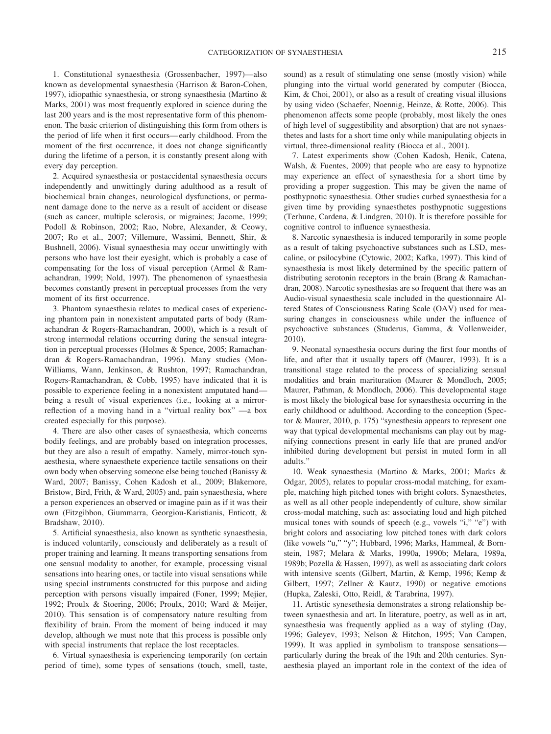1. Constitutional synaesthesia (Grossenbacher, 1997)—also known as developmental synaesthesia (Harrison & Baron-Cohen, 1997), idiopathic synaesthesia, or strong synaesthesia (Martino & Marks, 2001) was most frequently explored in science during the last 200 years and is the most representative form of this phenomenon. The basic criterion of distinguishing this form from others is the period of life when it first occurs— early childhood. From the moment of the first occurrence, it does not change significantly during the lifetime of a person, it is constantly present along with every day perception.

2. Acquired synaesthesia or postaccidental synaesthesia occurs independently and unwittingly during adulthood as a result of biochemical brain changes, neurological dysfunctions, or permanent damage done to the nerve as a result of accident or disease (such as cancer, multiple sclerosis, or migraines; Jacome, 1999; Podoll & Robinson, 2002; Rao, Nobre, Alexander, & Ceowy, 2007; Ro et al., 2007; Villemure, Wassimi, Bennett, Shir, & Bushnell, 2006). Visual synaesthesia may occur unwittingly with persons who have lost their eyesight, which is probably a case of compensating for the loss of visual perception (Armel & Ramachandran, 1999; Nold, 1997). The phenomenon of synaesthesia becomes constantly present in perceptual processes from the very moment of its first occurrence.

3. Phantom synaesthesia relates to medical cases of experiencing phantom pain in nonexistent amputated parts of body (Ramachandran & Rogers-Ramachandran, 2000), which is a result of strong intermodal relations occurring during the sensual integration in perceptual processes (Holmes & Spence, 2005; Ramachandran & Rogers-Ramachandran, 1996). Many studies (Mon-Williams, Wann, Jenkinson, & Rushton, 1997; Ramachandran, Rogers-Ramachandran, & Cobb, 1995) have indicated that it is possible to experience feeling in a nonexistent amputated hand being a result of visual experiences (i.e., looking at a mirrorreflection of a moving hand in a "virtual reality box" —a box created especially for this purpose).

4. There are also other cases of synaesthesia, which concerns bodily feelings, and are probably based on integration processes, but they are also a result of empathy. Namely, mirror-touch synaesthesia, where synaesthete experience tactile sensations on their own body when observing someone else being touched (Banissy & Ward, 2007; Banissy, Cohen Kadosh et al., 2009; Blakemore, Bristow, Bird, Frith, & Ward, 2005) and, pain synaesthesia, where a person experiences an observed or imagine pain as if it was their own (Fitzgibbon, Giummarra, Georgiou-Karistianis, Enticott, & Bradshaw, 2010).

5. Artificial synaesthesia, also known as synthetic synaesthesia, is induced voluntarily, consciously and deliberately as a result of proper training and learning. It means transporting sensations from one sensual modality to another, for example, processing visual sensations into hearing ones, or tactile into visual sensations while using special instruments constructed for this purpose and aiding perception with persons visually impaired (Foner, 1999; Mejier, 1992; Proulx & Stoering, 2006; Proulx, 2010; Ward & Meijer, 2010). This sensation is of compensatory nature resulting from flexibility of brain. From the moment of being induced it may develop, although we must note that this process is possible only with special instruments that replace the lost receptacles.

6. Virtual synaesthesia is experiencing temporarily (on certain period of time), some types of sensations (touch, smell, taste,

sound) as a result of stimulating one sense (mostly vision) while plunging into the virtual world generated by computer (Biocca, Kim, & Choi, 2001), or also as a result of creating visual illusions by using video (Schaefer, Noennig, Heinze, & Rotte, 2006). This phenomenon affects some people (probably, most likely the ones of high level of suggestibility and absorption) that are not synaesthetes and lasts for a short time only while manipulating objects in virtual, three-dimensional reality (Biocca et al., 2001).

7. Latest experiments show (Cohen Kadosh, Henik, Catena, Walsh, & Fuentes, 2009) that people who are easy to hypnotize may experience an effect of synaesthesia for a short time by providing a proper suggestion. This may be given the name of posthypnotic synaesthesia. Other studies curbed synaesthesia for a given time by providing synaesthetes posthypnotic suggestions (Terhune, Cardena, & Lindgren, 2010). It is therefore possible for cognitive control to influence synaesthesia.

8. Narcotic synaesthesia is induced temporarily in some people as a result of taking psychoactive substances such as LSD, mescaline, or psilocybine (Cytowic, 2002; Kafka, 1997). This kind of synaesthesia is most likely determined by the specific pattern of distributing serotonin receptors in the brain (Brang & Ramachandran, 2008). Narcotic synesthesias are so frequent that there was an Audio-visual synaesthesia scale included in the questionnaire Altered States of Consciousness Rating Scale (OAV) used for measuring changes in consciousness while under the influence of psychoactive substances (Studerus, Gamma, & Vollenweider, 2010).

9. Neonatal synaesthesia occurs during the first four months of life, and after that it usually tapers off (Maurer, 1993). It is a transitional stage related to the process of specializing sensual modalities and brain marituration (Maurer & Mondloch, 2005; Maurer, Pathman, & Mondloch, 2006). This developmental stage is most likely the biological base for synaesthesia occurring in the early childhood or adulthood. According to the conception (Spector & Maurer, 2010, p. 175) "synesthesia appears to represent one way that typical developmental mechanisms can play out by magnifying connections present in early life that are pruned and/or inhibited during development but persist in muted form in all adults."

10. Weak synaesthesia (Martino & Marks, 2001; Marks & Odgar, 2005), relates to popular cross-modal matching, for example, matching high pitched tones with bright colors. Synaesthetes, as well as all other people independently of culture, show similar cross-modal matching, such as: associating loud and high pitched musical tones with sounds of speech (e.g., vowels "i," "e") with bright colors and associating low pitched tones with dark colors (like vowels "u," "y"; Hubbard, 1996; Marks, Hammeal, & Bornstein, 1987; Melara & Marks, 1990a, 1990b; Melara, 1989a, 1989b; Pozella & Hassen, 1997), as well as associating dark colors with intensive scents (Gilbert, Martin, & Kemp, 1996; Kemp & Gilbert, 1997; Zellner & Kautz, 1990) or negative emotions (Hupka, Zaleski, Otto, Reidl, & Tarabrina, 1997).

11. Artistic synesethesia demonstrates a strong relationship between synaesthesia and art. In literature, poetry, as well as in art, synaesthesia was frequently applied as a way of styling (Day, 1996; Galeyev, 1993; Nelson & Hitchon, 1995; Van Campen, 1999). It was applied in symbolism to transpose sensations particularly during the break of the 19th and 20th centuries. Synaesthesia played an important role in the context of the idea of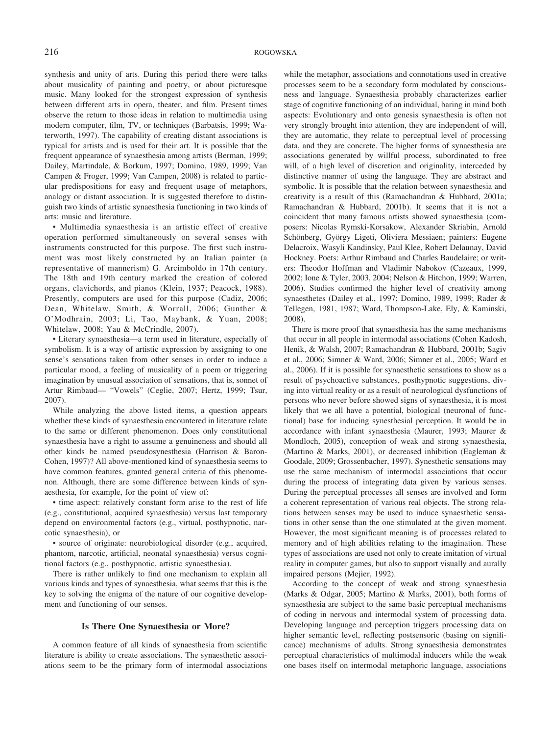synthesis and unity of arts. During this period there were talks about musicality of painting and poetry, or about picturesque music. Many looked for the strongest expression of synthesis between different arts in opera, theater, and film. Present times observe the return to those ideas in relation to multimedia using modern computer, film, TV, or techniques (Barbatsis, 1999; Waterworth, 1997). The capability of creating distant associations is typical for artists and is used for their art. It is possible that the frequent appearance of synaesthesia among artists (Berman, 1999; Dailey, Martindale, & Borkum, 1997; Domino, 1989, 1999; Van Campen & Froger, 1999; Van Campen, 2008) is related to particular predispositions for easy and frequent usage of metaphors, analogy or distant association. It is suggested therefore to distinguish two kinds of artistic synaesthesia functioning in two kinds of arts: music and literature.

• Multimedia synaesthesia is an artistic effect of creative operation performed simultaneously on several senses with instruments constructed for this purpose. The first such instrument was most likely constructed by an Italian painter (a representative of mannerism) G. Arcimboldo in 17th century. The 18th and 19th century marked the creation of colored organs, clavichords, and pianos (Klein, 1937; Peacock, 1988). Presently, computers are used for this purpose (Cadiz, 2006; Dean, Whitelaw, Smith, & Worrall, 2006; Gunther & O'Modhrain, 2003; Li, Tao, Maybank, & Yuan, 2008; Whitelaw, 2008; Yau & McCrindle, 2007).

• Literary synaesthesia—a term used in literature, especially of symbolism. It is a way of artistic expression by assigning to one sense's sensations taken from other senses in order to induce a particular mood, a feeling of musicality of a poem or triggering imagination by unusual association of sensations, that is, sonnet of Artur Rimbaud— "Vowels" (Ceglie, 2007; Hertz, 1999; Tsur, 2007).

While analyzing the above listed items, a question appears whether these kinds of synaesthesia encountered in literature relate to the same or different phenomenon. Does only constitutional synaesthesia have a right to assume a genuineness and should all other kinds be named pseudosynesthesia (Harrison & Baron-Cohen, 1997)? All above-mentioned kind of synaesthesia seems to have common features, granted general criteria of this phenomenon. Although, there are some difference between kinds of synaesthesia, for example, for the point of view of:

• time aspect: relatively constant form arise to the rest of life (e.g., constitutional, acquired synaesthesia) versus last temporary depend on environmental factors (e.g., virtual, posthypnotic, narcotic synaesthesia), or

• source of originate: neurobiological disorder (e.g., acquired, phantom, narcotic, artificial, neonatal synaesthesia) versus cognitional factors (e.g., posthypnotic, artistic synaesthesia).

There is rather unlikely to find one mechanism to explain all various kinds and types of synaesthesia, what seems that this is the key to solving the enigma of the nature of our cognitive development and functioning of our senses.

#### **Is There One Synaesthesia or More?**

A common feature of all kinds of synaesthesia from scientific literature is ability to create associations. The synaesthetic associations seem to be the primary form of intermodal associations

while the metaphor, associations and connotations used in creative processes seem to be a secondary form modulated by consciousness and language. Synaesthesia probably characterizes earlier stage of cognitive functioning of an individual, baring in mind both aspects: Evolutionary and onto genesis synaesthesia is often not very strongly brought into attention, they are independent of will, they are automatic, they relate to perceptual level of processing data, and they are concrete. The higher forms of synaesthesia are associations generated by willful process, subordinated to free will, of a high level of discretion and originality, interceded by distinctive manner of using the language. They are abstract and symbolic. It is possible that the relation between synaesthesia and creativity is a result of this (Ramachandran & Hubbard, 2001a; Ramachandran & Hubbard, 2001b). It seems that it is not a coincident that many famous artists showed synaesthesia (composers: Nicolas Rymski-Korsakow, Alexander Skriabin, Arnold Schönberg, György Ligeti, Oliviera Messiaen; painters: Eugene Delacroix, Wasyli Kandinsky, Paul Klee, Robert Delaunay, David Hockney. Poets: Arthur Rimbaud and Charles Baudelaire; or writers: Theodor Hoffman and Vladimir Nabokov (Cazeaux, 1999, 2002; Ione & Tyler, 2003, 2004; Nelson & Hitchon, 1999; Warren, 2006). Studies confirmed the higher level of creativity among synaesthetes (Dailey et al., 1997; Domino, 1989, 1999; Rader & Tellegen, 1981, 1987; Ward, Thompson-Lake, Ely, & Kaminski, 2008).

There is more proof that synaesthesia has the same mechanisms that occur in all people in intermodal associations (Cohen Kadosh, Henik, & Walsh, 2007; Ramachandran & Hubbard, 2001b; Sagiv et al., 2006; Simner & Ward, 2006; Simner et al., 2005; Ward et al., 2006). If it is possible for synaesthetic sensations to show as a result of psychoactive substances, posthypnotic suggestions, diving into virtual reality or as a result of neurological dysfunctions of persons who never before showed signs of synaesthesia, it is most likely that we all have a potential, biological (neuronal of functional) base for inducing synesthesial perception. It would be in accordance with infant synaesthesia (Maurer, 1993; Maurer & Mondloch, 2005), conception of weak and strong synaesthesia, (Martino & Marks, 2001), or decreased inhibition (Eagleman & Goodale, 2009; Grossenbacher, 1997). Synesthetic sensations may use the same mechanism of intermodal associations that occur during the process of integrating data given by various senses. During the perceptual processes all senses are involved and form a coherent representation of various real objects. The strong relations between senses may be used to induce synaesthetic sensations in other sense than the one stimulated at the given moment. However, the most significant meaning is of processes related to memory and of high abilities relating to the imagination. These types of associations are used not only to create imitation of virtual reality in computer games, but also to support visually and aurally impaired persons (Mejier, 1992).

According to the concept of weak and strong synaesthesia (Marks & Odgar, 2005; Martino & Marks, 2001), both forms of synaesthesia are subject to the same basic perceptual mechanisms of coding in nervous and intermodal system of processing data. Developing language and perception triggers processing data on higher semantic level, reflecting postsensoric (basing on significance) mechanisms of adults. Strong synaesthesia demonstrates perceptual characteristics of multimodal inducers while the weak one bases itself on intermodal metaphoric language, associations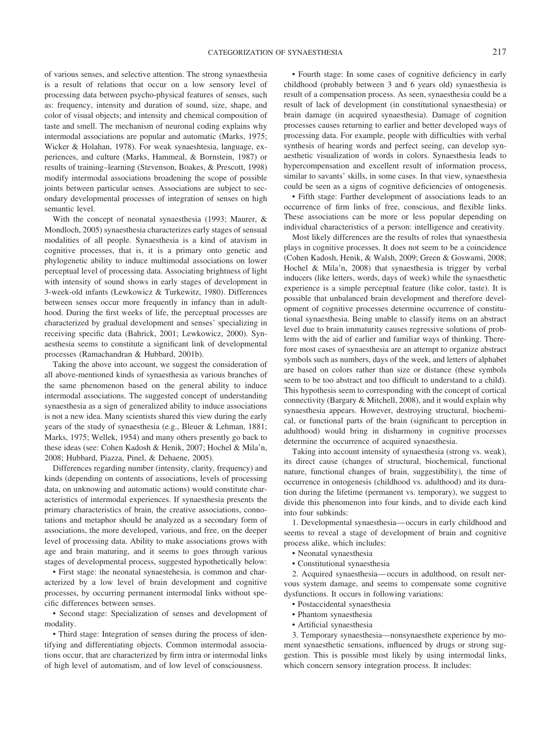of various senses, and selective attention. The strong synaesthesia is a result of relations that occur on a low sensory level of processing data between psycho-physical features of senses, such as: frequency, intensity and duration of sound, size, shape, and color of visual objects; and intensity and chemical composition of taste and smell. The mechanism of neuronal coding explains why intermodal associations are popular and automatic (Marks, 1975; Wicker & Holahan, 1978). For weak synaeshtesia, language, experiences, and culture (Marks, Hammeal, & Bornstein, 1987) or results of training–learning (Stevenson, Boakes, & Prescott, 1998) modify intermodal associations broadening the scope of possible joints between particular senses. Associations are subject to secondary developmental processes of integration of senses on high semantic level.

With the concept of neonatal synaesthesia (1993; Maurer, & Mondloch, 2005) synaesthesia characterizes early stages of sensual modalities of all people. Synaesthesia is a kind of atavism in cognitive processes, that is, it is a primary onto genetic and phylogenetic ability to induce multimodal associations on lower perceptual level of processing data. Associating brightness of light with intensity of sound shows in early stages of development in 3-week-old infants (Lewkowicz & Turkewitz, 1980). Differences between senses occur more frequently in infancy than in adulthood. During the first weeks of life, the perceptual processes are characterized by gradual development and senses' specializing in receiving specific data (Bahrick, 2001; Lewkowicz, 2000). Synaesthesia seems to constitute a significant link of developmental processes (Ramachandran & Hubbard, 2001b).

Taking the above into account, we suggest the consideration of all above-mentioned kinds of synaesthesia as various branches of the same phenomenon based on the general ability to induce intermodal associations. The suggested concept of understanding synaesthesia as a sign of generalized ability to induce associations is not a new idea. Many scientists shared this view during the early years of the study of synaesthesia (e.g., Bleuer & Lehman, 1881; Marks, 1975; Wellek, 1954) and many others presently go back to these ideas (see: Cohen Kadosh & Henik, 2007; Hochel & Mila'n, 2008; Hubbard, Piazza, Pinel, & Dehaene, 2005).

Differences regarding number (intensity, clarity, frequency) and kinds (depending on contents of associations, levels of processing data, on unknowing and automatic actions) would constitute characteristics of intermodal experiences. If synaesthesia presents the primary characteristics of brain, the creative associations, connotations and metaphor should be analyzed as a secondary form of associations, the more developed, various, and free, on the deeper level of processing data. Ability to make associations grows with age and brain maturing, and it seems to goes through various stages of developmental process, suggested hypothetically below:

• First stage: the neonatal synaestehesia, is common and characterized by a low level of brain development and cognitive processes, by occurring permanent intermodal links without specific differences between senses.

• Second stage: Specialization of senses and development of modality.

• Third stage: Integration of senses during the process of identifying and differentiating objects. Common intermodal associations occur, that are characterized by firm intra or intermodal links of high level of automatism, and of low level of consciousness.

• Fourth stage: In some cases of cognitive deficiency in early childhood (probably between 3 and 6 years old) synaesthesia is result of a compensation process. As seen, synaesthesia could be a result of lack of development (in constitutional synaesthesia) or brain damage (in acquired synaesthesia). Damage of cognition processes causes returning to earlier and better developed ways of processing data. For example, people with difficulties with verbal synthesis of hearing words and perfect seeing, can develop synaesthetic visualization of words in colors. Synaesthesia leads to hypercompensation and excellent result of information process, similar to savants' skills, in some cases. In that view, synaesthesia could be seen as a signs of cognitive deficiencies of ontogenesis.

• Fifth stage: Further development of associations leads to an occurrence of firm links of free, conscious, and flexible links. These associations can be more or less popular depending on individual characteristics of a person: intelligence and creativity.

Most likely differences are the results of roles that synaesthesia plays in cognitive processes. It does not seem to be a coincidence (Cohen Kadosh, Henik, & Walsh, 2009; Green & Goswami, 2008; Hochel & Mila'n, 2008) that synaesthesia is trigger by verbal inducers (like letters, words, days of week) while the synaesthetic experience is a simple perceptual feature (like color, taste). It is possible that unbalanced brain development and therefore development of cognitive processes determine occurrence of constitutional synaesthesia. Being unable to classify items on an abstract level due to brain immaturity causes regressive solutions of problems with the aid of earlier and familiar ways of thinking. Therefore most cases of synaesthesia are an attempt to organize abstract symbols such as numbers, days of the week, and letters of alphabet are based on colors rather than size or distance (these symbols seem to be too abstract and too difficult to understand to a child). This hypothesis seem to corresponding with the concept of cortical connectivity (Bargary & Mitchell, 2008), and it would explain why synaesthesia appears. However, destroying structural, biochemical, or functional parts of the brain (significant to perception in adulthood) would bring in disharmony in cognitive processes determine the occurrence of acquired synaesthesia.

Taking into account intensity of synaesthesia (strong vs. weak), its direct cause (changes of structural, biochemical, functional nature, functional changes of brain, suggestibility), the time of occurrence in ontogenesis (childhood vs. adulthood) and its duration during the lifetime (permanent vs. temporary), we suggest to divide this phenomenon into four kinds, and to divide each kind into four subkinds:

1. Developmental synaesthesia— occurs in early childhood and seems to reveal a stage of development of brain and cognitive process alike, which includes:

- Neonatal synaesthesia
- Constitutional synaesthesia

2. Acquired synaesthesia— occurs in adulthood, on result nervous system damage, and seems to compensate some cognitive dysfunctions. It occurs in following variations:

- Postaccidental synaesthesia
- Phantom synaesthesia
- Artificial synaesthesia

3. Temporary synaesthesia—nonsynaesthete experience by moment synaesthetic sensations, influenced by drugs or strong suggestion. This is possible most likely by using intermodal links, which concern sensory integration process. It includes: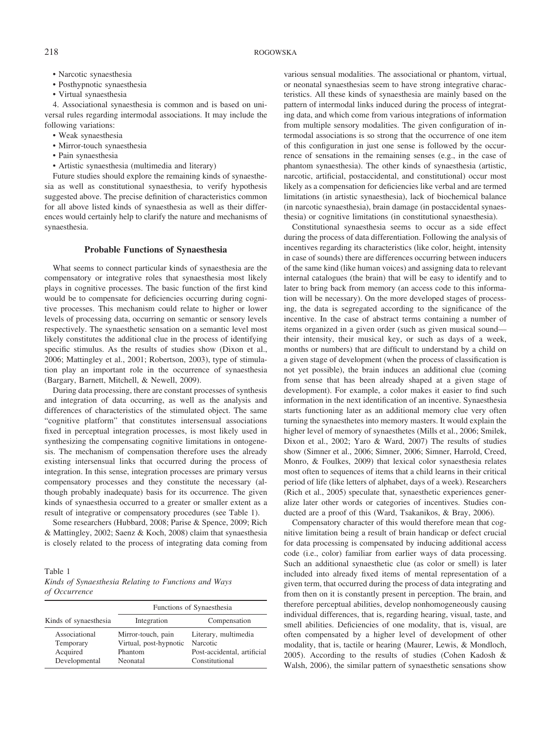- Narcotic synaesthesia
- Posthypnotic synaesthesia
- Virtual synaesthesia

4. Associational synaesthesia is common and is based on universal rules regarding intermodal associations. It may include the following variations:

- Weak synaesthesia
- Mirror-touch synaesthesia
- Pain synaesthesia
- Artistic synaesthesia (multimedia and literary)

Future studies should explore the remaining kinds of synaesthesia as well as constitutional synaesthesia, to verify hypothesis suggested above. The precise definition of characteristics common for all above listed kinds of synaesthesia as well as their differences would certainly help to clarify the nature and mechanisms of synaesthesia.

#### **Probable Functions of Synaesthesia**

What seems to connect particular kinds of synaesthesia are the compensatory or integrative roles that synaesthesia most likely plays in cognitive processes. The basic function of the first kind would be to compensate for deficiencies occurring during cognitive processes. This mechanism could relate to higher or lower levels of processing data, occurring on semantic or sensory levels respectively. The synaesthetic sensation on a semantic level most likely constitutes the additional clue in the process of identifying specific stimulus. As the results of studies show (Dixon et al., 2006; Mattingley et al., 2001; Robertson, 2003), type of stimulation play an important role in the occurrence of synaesthesia (Bargary, Barnett, Mitchell, & Newell, 2009).

During data processing, there are constant processes of synthesis and integration of data occurring, as well as the analysis and differences of characteristics of the stimulated object. The same "cognitive platform" that constitutes intersensual associations fixed in perceptual integration processes, is most likely used in synthesizing the compensating cognitive limitations in ontogenesis. The mechanism of compensation therefore uses the already existing intersensual links that occurred during the process of integration. In this sense, integration processes are primary versus compensatory processes and they constitute the necessary (although probably inadequate) basis for its occurrence. The given kinds of synaesthesia occurred to a greater or smaller extent as a result of integrative or compensatory procedures (see Table 1).

Some researchers (Hubbard, 2008; Parise & Spence, 2009; Rich & Mattingley, 2002; Saenz & Koch, 2008) claim that synaesthesia is closely related to the process of integrating data coming from

Table 1

*Kinds of Synaesthesia Relating to Functions and Ways of Occurrence*

|                                                         | Functions of Synaesthesia                                           |                                                                                   |  |
|---------------------------------------------------------|---------------------------------------------------------------------|-----------------------------------------------------------------------------------|--|
| Kinds of synaesthesia                                   | Integration                                                         | Compensation                                                                      |  |
| Associational<br>Temporary<br>Acquired<br>Developmental | Mirror-touch, pain<br>Virtual, post-hypnotic<br>Phantom<br>Neonatal | Literary, multimedia<br>Narcotic<br>Post-accidental, artificial<br>Constitutional |  |

various sensual modalities. The associational or phantom, virtual, or neonatal synaesthesias seem to have strong integrative characteristics. All these kinds of synaesthesia are mainly based on the pattern of intermodal links induced during the process of integrating data, and which come from various integrations of information from multiple sensory modalities. The given configuration of intermodal associations is so strong that the occurrence of one item of this configuration in just one sense is followed by the occurrence of sensations in the remaining senses (e.g., in the case of phantom synaesthesia). The other kinds of synaesthesia (artistic, narcotic, artificial, postaccidental, and constitutional) occur most likely as a compensation for deficiencies like verbal and are termed limitations (in artistic synaesthesia), lack of biochemical balance (in narcotic synaesthesia), brain damage (in postaccidental synaesthesia) or cognitive limitations (in constitutional synaesthesia).

Constitutional synaesthesia seems to occur as a side effect during the process of data differentiation. Following the analysis of incentives regarding its characteristics (like color, height, intensity in case of sounds) there are differences occurring between inducers of the same kind (like human voices) and assigning data to relevant internal catalogues (the brain) that will be easy to identify and to later to bring back from memory (an access code to this information will be necessary). On the more developed stages of processing, the data is segregated according to the significance of the incentive. In the case of abstract terms containing a number of items organized in a given order (such as given musical sound their intensity, their musical key, or such as days of a week, months or numbers) that are difficult to understand by a child on a given stage of development (when the process of classification is not yet possible), the brain induces an additional clue (coming from sense that has been already shaped at a given stage of development). For example, a color makes it easier to find such information in the next identification of an incentive. Synaesthesia starts functioning later as an additional memory clue very often turning the synaesthetes into memory masters. It would explain the higher level of memory of synaesthetes (Mills et al., 2006; Smilek, Dixon et al., 2002; Yaro & Ward, 2007) The results of studies show (Simner et al., 2006; Simner, 2006; Simner, Harrold, Creed, Monro, & Foulkes, 2009) that lexical color synaesthesia relates most often to sequences of items that a child learns in their critical period of life (like letters of alphabet, days of a week). Researchers (Rich et al., 2005) speculate that, synaesthetic experiences generalize later other words or categories of incentives. Studies conducted are a proof of this (Ward, Tsakanikos, & Bray, 2006).

Compensatory character of this would therefore mean that cognitive limitation being a result of brain handicap or defect crucial for data processing is compensated by inducing additional access code (i.e., color) familiar from earlier ways of data processing. Such an additional synaesthetic clue (as color or smell) is later included into already fixed items of mental representation of a given term, that occurred during the process of data integrating and from then on it is constantly present in perception. The brain, and therefore perceptual abilities, develop nonhomogeneously causing individual differences, that is, regarding hearing, visual, taste, and smell abilities. Deficiencies of one modality, that is, visual, are often compensated by a higher level of development of other modality, that is, tactile or hearing (Maurer, Lewis, & Mondloch, 2005). According to the results of studies (Cohen Kadosh & Walsh, 2006), the similar pattern of synaesthetic sensations show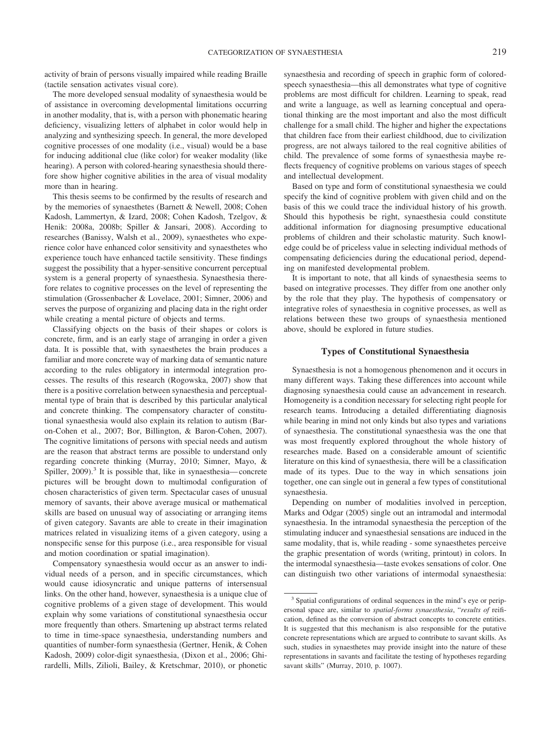activity of brain of persons visually impaired while reading Braille (tactile sensation activates visual core).

The more developed sensual modality of synaesthesia would be of assistance in overcoming developmental limitations occurring in another modality, that is, with a person with phonematic hearing deficiency, visualizing letters of alphabet in color would help in analyzing and synthesizing speech. In general, the more developed cognitive processes of one modality (i.e., visual) would be a base for inducing additional clue (like color) for weaker modality (like hearing). A person with colored-hearing synaesthesia should therefore show higher cognitive abilities in the area of visual modality more than in hearing.

This thesis seems to be confirmed by the results of research and by the memories of synaesthetes (Barnett & Newell, 2008; Cohen Kadosh, Lammertyn, & Izard, 2008; Cohen Kadosh, Tzelgov, & Henik: 2008a, 2008b; Spiller & Jansari, 2008). According to researches (Banissy, Walsh et al., 2009), synaesthetes who experience color have enhanced color sensitivity and synaesthetes who experience touch have enhanced tactile sensitivity. These findings suggest the possibility that a hyper-sensitive concurrent perceptual system is a general property of synaesthesia. Synaesthesia therefore relates to cognitive processes on the level of representing the stimulation (Grossenbacher & Lovelace, 2001; Simner, 2006) and serves the purpose of organizing and placing data in the right order while creating a mental picture of objects and terms.

Classifying objects on the basis of their shapes or colors is concrete, firm, and is an early stage of arranging in order a given data. It is possible that, with synaesthetes the brain produces a familiar and more concrete way of marking data of semantic nature according to the rules obligatory in intermodal integration processes. The results of this research (Rogowska, 2007) show that there is a positive correlation between synaesthesia and perceptualmental type of brain that is described by this particular analytical and concrete thinking. The compensatory character of constitutional synaesthesia would also explain its relation to autism (Baron-Cohen et al., 2007; Bor, Billington, & Baron-Cohen, 2007). The cognitive limitations of persons with special needs and autism are the reason that abstract terms are possible to understand only regarding concrete thinking (Murray, 2010; Simner, Mayo, & Spiller,  $2009$ .<sup>3</sup> It is possible that, like in synaesthesia—concrete pictures will be brought down to multimodal configuration of chosen characteristics of given term. Spectacular cases of unusual memory of savants, their above average musical or mathematical skills are based on unusual way of associating or arranging items of given category. Savants are able to create in their imagination matrices related in visualizing items of a given category, using a nonspecific sense for this purpose (i.e., area responsible for visual and motion coordination or spatial imagination).

Compensatory synaesthesia would occur as an answer to individual needs of a person, and in specific circumstances, which would cause idiosyncratic and unique patterns of intersensual links. On the other hand, however, synaesthesia is a unique clue of cognitive problems of a given stage of development. This would explain why some variations of constitutional synaesthesia occur more frequently than others. Smartening up abstract terms related to time in time-space synaesthesia, understanding numbers and quantities of number-form synaesthesia (Gertner, Henik, & Cohen Kadosh, 2009) color-digit synaesthesia, (Dixon et al., 2006; Ghirardelli, Mills, Zilioli, Bailey, & Kretschmar, 2010), or phonetic synaesthesia and recording of speech in graphic form of coloredspeech synaesthesia—this all demonstrates what type of cognitive problems are most difficult for children. Learning to speak, read and write a language, as well as learning conceptual and operational thinking are the most important and also the most difficult challenge for a small child. The higher and higher the expectations that children face from their earliest childhood, due to civilization progress, are not always tailored to the real cognitive abilities of child. The prevalence of some forms of synaesthesia maybe reflects frequency of cognitive problems on various stages of speech and intellectual development.

Based on type and form of constitutional synaesthesia we could specify the kind of cognitive problem with given child and on the basis of this we could trace the individual history of his growth. Should this hypothesis be right, synaesthesia could constitute additional information for diagnosing presumptive educational problems of children and their scholastic maturity. Such knowledge could be of priceless value in selecting individual methods of compensating deficiencies during the educational period, depending on manifested developmental problem.

It is important to note, that all kinds of synaesthesia seems to based on integrative processes. They differ from one another only by the role that they play. The hypothesis of compensatory or integrative roles of synaesthesia in cognitive processes, as well as relations between these two groups of synaesthesia mentioned above, should be explored in future studies.

#### **Types of Constitutional Synaesthesia**

Synaesthesia is not a homogenous phenomenon and it occurs in many different ways. Taking these differences into account while diagnosing synaesthesia could cause an advancement in research. Homogeneity is a condition necessary for selecting right people for research teams. Introducing a detailed differentiating diagnosis while bearing in mind not only kinds but also types and variations of synaesthesia. The constitutional synaesthesia was the one that was most frequently explored throughout the whole history of researches made. Based on a considerable amount of scientific literature on this kind of synaesthesia, there will be a classification made of its types. Due to the way in which sensations join together, one can single out in general a few types of constitutional synaesthesia.

Depending on number of modalities involved in perception, Marks and Odgar (2005) single out an intramodal and intermodal synaesthesia. In the intramodal synaesthesia the perception of the stimulating inducer and synaesthesial sensations are induced in the same modality, that is, while reading - some synaesthetes perceive the graphic presentation of words (writing, printout) in colors. In the intermodal synaesthesia—taste evokes sensations of color. One can distinguish two other variations of intermodal synaesthesia:

<sup>&</sup>lt;sup>3</sup> Spatial configurations of ordinal sequences in the mind's eye or peripersonal space are, similar to *spatial-forms synaesthesia*, "*results of* reification, defined as the conversion of abstract concepts to concrete entities. It is suggested that this mechanism is also responsible for the putative concrete representations which are argued to contribute to savant skills. As such, studies in synaesthetes may provide insight into the nature of these representations in savants and facilitate the testing of hypotheses regarding savant skills" (Murray, 2010, p. 1007).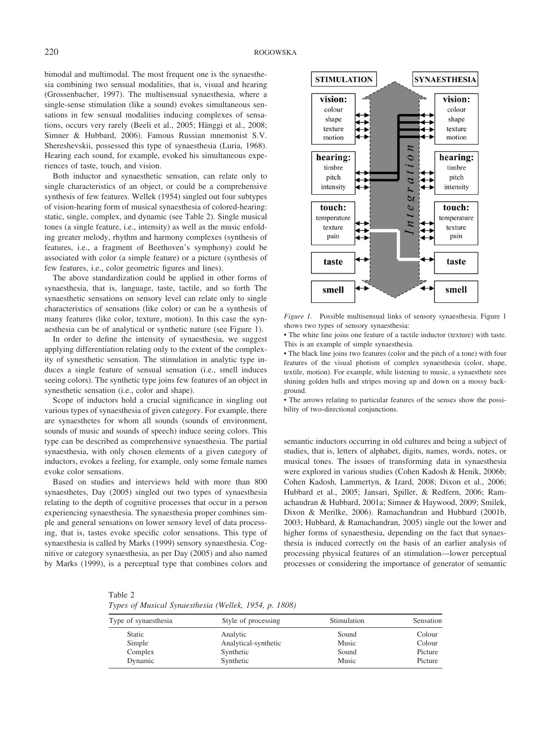bimodal and multimodal. The most frequent one is the synaesthesia combining two sensual modalities, that is, visual and hearing (Grossenbacher, 1997). The multisensual synaesthesia, where a single-sense stimulation (like a sound) evokes simultaneous sensations in few sensual modalities inducing complexes of sensations, occurs very rarely (Beeli et al., 2005; Hänggi et al., 2008; Simner & Hubbard, 2006). Famous Russian mnemonist S.V. Shereshevskii, possessed this type of synaesthesia (Luria, 1968). Hearing each sound, for example, evoked his simultaneous experiences of taste, touch, and vision.

Both inductor and synaesthetic sensation, can relate only to single characteristics of an object, or could be a comprehensive synthesis of few features. Wellek (1954) singled out four subtypes of vision-hearing form of musical synaesthesia of colored-hearing: static, single, complex, and dynamic (see Table 2). Single musical tones (a single feature, i.e., intensity) as well as the music enfolding greater melody, rhythm and harmony complexes (synthesis of features, i.e., a fragment of Beethoven's symphony) could be associated with color (a simple feature) or a picture (synthesis of few features, i.e., color geometric figures and lines).

The above standardization could be applied in other forms of synaesthesia, that is, language, taste, tactile, and so forth The synaesthetic sensations on sensory level can relate only to single characteristics of sensations (like color) or can be a synthesis of many features (like color, texture, motion). In this case the synaesthesia can be of analytical or synthetic nature (see Figure 1).

In order to define the intensity of synaesthesia, we suggest applying differentiation relating only to the extent of the complexity of synesthetic sensation. The stimulation in analytic type induces a single feature of sensual sensation (i.e., smell induces seeing colors). The synthetic type joins few features of an object in synesthetic sensation (i.e., color and shape).

Scope of inductors hold a crucial significance in singling out various types of synaesthesia of given category. For example, there are synaesthetes for whom all sounds (sounds of environment, sounds of music and sounds of speech) induce seeing colors. This type can be described as comprehensive synaesthesia. The partial synaesthesia, with only chosen elements of a given category of inductors, evokes a feeling, for example, only some female names evoke color sensations.

Based on studies and interviews held with more than 800 synaesthetes, Day (2005) singled out two types of synaesthesia relating to the depth of cognitive processes that occur in a person experiencing synaesthesia. The synaesthesia proper combines simple and general sensations on lower sensory level of data processing, that is, tastes evoke specific color sensations. This type of synaesthesia is called by Marks (1999) sensory synaesthesia. Cognitive or category synaesthesia, as per Day (2005) and also named by Marks (1999), is a perceptual type that combines colors and



*Figure 1.* Possible multisensual links of sensory synaesthesia. Figure 1 shows two types of sensory synaesthesia:

• The white line joins one feature of a tactile inductor (texture) with taste. This is an example of simple synaesthesia.

• The black line joins two features (color and the pitch of a tone) with four features of the visual photism of complex synaesthesia (color, shape, textile, motion). For example, while listening to music, a synaesthete sees shining golden balls and stripes moving up and down on a mossy background.

• The arrows relating to particular features of the senses show the possibility of two-directional conjunctions.

semantic inductors occurring in old cultures and being a subject of studies, that is, letters of alphabet, digits, names, words, notes, or musical tones. The issues of transforming data in synaesthesia were explored in various studies (Cohen Kadosh & Henik, 2006b; Cohen Kadosh, Lammertyn, & Izard, 2008; Dixon et al., 2006; Hubbard et al., 2005; Jansari, Spiller, & Redfern, 2006; Ramachandran & Hubbard, 2001a; Simner & Haywood, 2009; Smilek, Dixon & Merilke, 2006). Ramachandran and Hubbard (2001b, 2003; Hubbard, & Ramachandran, 2005) single out the lower and higher forms of synaesthesia, depending on the fact that synaesthesia is induced correctly on the basis of an earlier analysis of processing physical features of an stimulation—lower perceptual processes or considering the importance of generator of semantic

Table 2

*Types of Musical Synaesthesia (Wellek, 1954, p. 1808)*

| Type of synaesthesia | Style of processing  | Stimulation | Sensation |
|----------------------|----------------------|-------------|-----------|
| <b>Static</b>        | Analytic             | Sound       | Colour    |
| Simple               | Analytical-synthetic | Music       | Colour    |
| Complex              | Synthetic            | Sound       | Picture   |
| Dynamic              | Synthetic            | Music       | Picture   |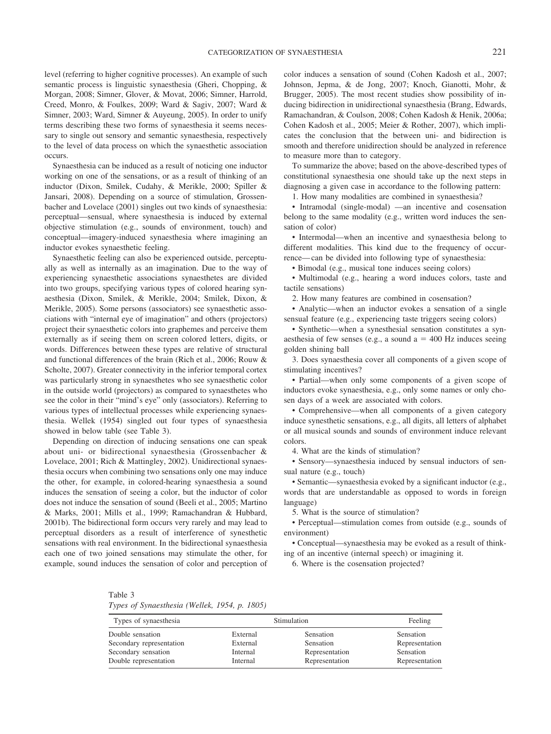level (referring to higher cognitive processes). An example of such semantic process is linguistic synaesthesia (Gheri, Chopping, & Morgan, 2008; Simner, Glover, & Movat, 2006; Simner, Harrold, Creed, Monro, & Foulkes, 2009; Ward & Sagiv, 2007; Ward & Simner, 2003; Ward, Simner & Auyeung, 2005). In order to unify terms describing these two forms of synaesthesia it seems necessary to single out sensory and semantic synaesthesia, respectively to the level of data process on which the synaesthetic association occurs.

Synaesthesia can be induced as a result of noticing one inductor working on one of the sensations, or as a result of thinking of an inductor (Dixon, Smilek, Cudahy, & Merikle, 2000; Spiller & Jansari, 2008). Depending on a source of stimulation, Grossenbacher and Lovelace (2001) singles out two kinds of synaesthesia: perceptual—sensual, where synaesthesia is induced by external objective stimulation (e.g., sounds of environment, touch) and conceptual—imagery-induced synaesthesia where imagining an inductor evokes synaesthetic feeling.

Synaesthetic feeling can also be experienced outside, perceptually as well as internally as an imagination. Due to the way of experiencing synaesthetic associations synaesthetes are divided into two groups, specifying various types of colored hearing synaesthesia (Dixon, Smilek, & Merikle, 2004; Smilek, Dixon, & Merikle, 2005). Some persons (associators) see synaesthetic associations with "internal eye of imagination" and others (projectors) project their synaesthetic colors into graphemes and perceive them externally as if seeing them on screen colored letters, digits, or words. Differences between these types are relative of structural and functional differences of the brain (Rich et al., 2006; Rouw & Scholte, 2007). Greater connectivity in the inferior temporal cortex was particularly strong in synaesthetes who see synaesthetic color in the outside world (projectors) as compared to synaesthetes who see the color in their "mind's eye" only (associators). Referring to various types of intellectual processes while experiencing synaesthesia. Wellek (1954) singled out four types of synaesthesia showed in below table (see Table 3).

Depending on direction of inducing sensations one can speak about uni- or bidirectional synaesthesia (Grossenbacher & Lovelace, 2001; Rich & Mattingley, 2002). Unidirectional synaesthesia occurs when combining two sensations only one may induce the other, for example, in colored-hearing synaesthesia a sound induces the sensation of seeing a color, but the inductor of color does not induce the sensation of sound (Beeli et al., 2005; Martino & Marks, 2001; Mills et al., 1999; Ramachandran & Hubbard, 2001b). The bidirectional form occurs very rarely and may lead to perceptual disorders as a result of interference of synesthetic sensations with real environment. In the bidirectional synaesthesia each one of two joined sensations may stimulate the other, for example, sound induces the sensation of color and perception of color induces a sensation of sound (Cohen Kadosh et al., 2007; Johnson, Jepma, & de Jong, 2007; Knoch, Gianotti, Mohr, & Brugger, 2005). The most recent studies show possibility of inducing bidirection in unidirectional synaesthesia (Brang, Edwards, Ramachandran, & Coulson, 2008; Cohen Kadosh & Henik, 2006a; Cohen Kadosh et al., 2005; Meier & Rother, 2007), which implicates the conclusion that the between uni- and bidirection is smooth and therefore unidirection should be analyzed in reference to measure more than to category.

To summarize the above; based on the above-described types of constitutional synaesthesia one should take up the next steps in diagnosing a given case in accordance to the following pattern:

1. How many modalities are combined in synaesthesia?

• Intramodal (single-modal) —an incentive and cosensation belong to the same modality (e.g., written word induces the sensation of color)

• Intermodal—when an incentive and synaesthesia belong to different modalities. This kind due to the frequency of occurrence— can be divided into following type of synaesthesia:

• Bimodal (e.g., musical tone induces seeing colors)

• Multimodal (e.g., hearing a word induces colors, taste and tactile sensations)

2. How many features are combined in cosensation?

• Analytic—when an inductor evokes a sensation of a single sensual feature (e.g., experiencing taste triggers seeing colors)

• Synthetic—when a synesthesial sensation constitutes a synaesthesia of few senses (e.g., a sound  $a = 400$  Hz induces seeing golden shining ball

3. Does synaesthesia cover all components of a given scope of stimulating incentives?

• Partial—when only some components of a given scope of inductors evoke synaesthesia, e.g., only some names or only chosen days of a week are associated with colors.

• Comprehensive—when all components of a given category induce synesthetic sensations, e.g., all digits, all letters of alphabet or all musical sounds and sounds of environment induce relevant colors.

4. What are the kinds of stimulation?

• Sensory—synaesthesia induced by sensual inductors of sensual nature (e.g., touch)

• Semantic—synaesthesia evoked by a significant inductor (e.g., words that are understandable as opposed to words in foreign language)

5. What is the source of stimulation?

• Perceptual—stimulation comes from outside (e.g., sounds of environment)

• Conceptual—synaesthesia may be evoked as a result of thinking of an incentive (internal speech) or imagining it.

6. Where is the cosensation projected?

Table 3

*Types of Synaesthesia (Wellek, 1954, p. 1805)*

| Types of synaesthesia                        |                      | Stimulation                      | Feeling                     |  |
|----------------------------------------------|----------------------|----------------------------------|-----------------------------|--|
| Double sensation                             | External             | Sensation                        | Sensation                   |  |
| Secondary representation                     | External             | Sensation                        | Representation              |  |
| Secondary sensation<br>Double representation | Internal<br>Internal | Representation<br>Representation | Sensation<br>Representation |  |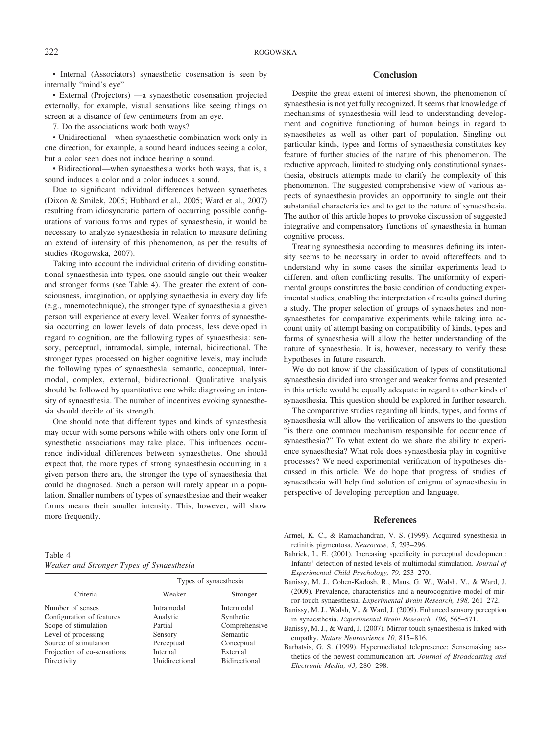• Internal (Associators) synaesthetic cosensation is seen by internally "mind's eye"

• External (Projectors) —a synaesthetic cosensation projected externally, for example, visual sensations like seeing things on screen at a distance of few centimeters from an eye.

7. Do the associations work both ways?

• Unidirectional—when synaesthetic combination work only in one direction, for example, a sound heard induces seeing a color, but a color seen does not induce hearing a sound.

• Bidirectional—when synaesthesia works both ways, that is, a sound induces a color and a color induces a sound.

Due to significant individual differences between synaethetes (Dixon & Smilek, 2005; Hubbard et al., 2005; Ward et al., 2007) resulting from idiosyncratic pattern of occurring possible configurations of various forms and types of synaesthesia, it would be necessary to analyze synaesthesia in relation to measure defining an extend of intensity of this phenomenon, as per the results of studies (Rogowska, 2007).

Taking into account the individual criteria of dividing constitutional synaesthesia into types, one should single out their weaker and stronger forms (see Table 4). The greater the extent of consciousness, imagination, or applying synaethesia in every day life (e.g., mnemotechnique), the stronger type of synaesthesia a given person will experience at every level. Weaker forms of synaesthesia occurring on lower levels of data process, less developed in regard to cognition, are the following types of synaesthesia: sensory, perceptual, intramodal, simple, internal, bidirectional. The stronger types processed on higher cognitive levels, may include the following types of synaesthesia: semantic, conceptual, intermodal, complex, external, bidirectional. Qualitative analysis should be followed by quantitative one while diagnosing an intensity of synaesthesia. The number of incentives evoking synaesthesia should decide of its strength.

One should note that different types and kinds of synaesthesia may occur with some persons while with others only one form of synesthetic associations may take place. This influences occurrence individual differences between synaesthetes. One should expect that, the more types of strong synaesthesia occurring in a given person there are, the stronger the type of synaesthesia that could be diagnosed. Such a person will rarely appear in a population. Smaller numbers of types of synaesthesiae and their weaker forms means their smaller intensity. This, however, will show more frequently.

Table 4 *Weaker and Stronger Types of Synaesthesia*

|                             | Types of synaesthesia |                      |  |
|-----------------------------|-----------------------|----------------------|--|
| Criteria                    | Weaker                | Stronger             |  |
| Number of senses            | Intramodal            | Intermodal           |  |
| Configuration of features   | Analytic              | Synthetic            |  |
| Scope of stimulation        | Partial               | Comprehensive        |  |
| Level of processing         | Sensory               | Semantic             |  |
| Source of stimulation       | Perceptual            | Conceptual           |  |
| Projection of co-sensations | Internal              | External             |  |
| Directivity                 | Unidirectional        | <b>Bidirectional</b> |  |

### **Conclusion**

Despite the great extent of interest shown, the phenomenon of synaesthesia is not yet fully recognized. It seems that knowledge of mechanisms of synaesthesia will lead to understanding development and cognitive functioning of human beings in regard to synaesthetes as well as other part of population. Singling out particular kinds, types and forms of synaesthesia constitutes key feature of further studies of the nature of this phenomenon. The reductive approach, limited to studying only constitutional synaesthesia, obstructs attempts made to clarify the complexity of this phenomenon. The suggested comprehensive view of various aspects of synaesthesia provides an opportunity to single out their substantial characteristics and to get to the nature of synaesthesia. The author of this article hopes to provoke discussion of suggested integrative and compensatory functions of synaesthesia in human cognitive process.

Treating synaesthesia according to measures defining its intensity seems to be necessary in order to avoid aftereffects and to understand why in some cases the similar experiments lead to different and often conflicting results. The uniformity of experimental groups constitutes the basic condition of conducting experimental studies, enabling the interpretation of results gained during a study. The proper selection of groups of synaesthetes and nonsynaesthetes for comparative experiments while taking into account unity of attempt basing on compatibility of kinds, types and forms of synaesthesia will allow the better understanding of the nature of synaesthesia. It is, however, necessary to verify these hypotheses in future research.

We do not know if the classification of types of constitutional synaesthesia divided into stronger and weaker forms and presented in this article would be equally adequate in regard to other kinds of synaesthesia. This question should be explored in further research.

The comparative studies regarding all kinds, types, and forms of synaesthesia will allow the verification of answers to the question "is there one common mechanism responsible for occurrence of synaesthesia?" To what extent do we share the ability to experience synaesthesia? What role does synaesthesia play in cognitive processes? We need experimental verification of hypotheses discussed in this article. We do hope that progress of studies of synaesthesia will help find solution of enigma of synaesthesia in perspective of developing perception and language.

#### **References**

- Armel, K. C., & Ramachandran, V. S. (1999). Acquired synesthesia in retinitis pigmentosa. *Neurocase, 5,* 293–296.
- Bahrick, L. E. (2001). Increasing specificity in perceptual development: Infants' detection of nested levels of multimodal stimulation. *Journal of Experimental Child Psychology, 79,* 253–270.
- Banissy, M. J., Cohen-Kadosh, R., Maus, G. W., Walsh, V., & Ward, J. (2009). Prevalence, characteristics and a neurocognitive model of mirror-touch synaesthesia. *Experimental Brain Research, 198,* 261–272.
- Banissy, M. J., Walsh, V., & Ward, J. (2009). Enhanced sensory perception in synaesthesia. *Experimental Brain Research, 196,* 565–571.
- Banissy, M. J., & Ward, J. (2007). Mirror-touch synaesthesia is linked with empathy. *Nature Neuroscience 10,* 815– 816.
- Barbatsis, G. S. (1999). Hypermediated telepresence: Sensemaking aesthetics of the newest communication art. *Journal of Broadcasting and Electronic Media, 43,* 280 –298.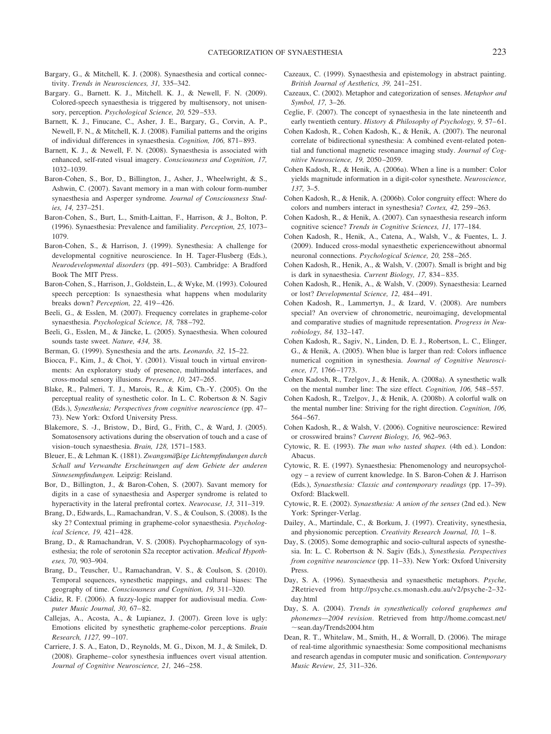- Bargary, G., & Mitchell, K. J. (2008). Synaesthesia and cortical connectivity. *Trends in Neurosciences, 31,* 335–342.
- Bargary. G., Barnett. K. J., Mitchell. K. J., & Newell, F. N. (2009). Colored-speech synaesthesia is triggered by multisensory, not unisensory, perception. *Psychological Science, 20,* 529 –533.
- Barnett, K. J., Finucane, C., Asher, J. E., Bargary, G., Corvin, A. P., Newell, F. N., & Mitchell, K. J. (2008). Familial patterns and the origins of individual differences in synaesthesia. *Cognition, 106,* 871– 893.
- Barnett, K. J., & Newell, F. N. (2008). Synaesthesia is associated with enhanced, self-rated visual imagery. *Consciousness and Cognition, 17,* 1032–1039.
- Baron-Cohen, S., Bor, D., Billington, J., Asher, J., Wheelwright, & S., Ashwin, C. (2007). Savant memory in a man with colour form-number synaesthesia and Asperger syndrome*. Journal of Consciousness Studies, 14,* 237–251.
- Baron-Cohen, S., Burt, L., Smith-Laittan, F., Harrison, & J., Bolton, P. (1996). Synaesthesia: Prevalence and familiality. *Perception, 25,* 1073– 1079.
- Baron-Cohen, S., & Harrison, J. (1999). Synesthesia: A challenge for developmental cognitive neuroscience. In H. Tager-Flusberg (Eds.), *Neurodevelopmental disorders* (pp. 491–503). Cambridge: A Bradford Book The MIT Press.
- Baron-Cohen, S., Harrison, J., Goldstein, L., & Wyke, M. (1993). Coloured speech perception: Is synaesthesia what happens when modularity breaks down? *Perception, 22,* 419 – 426.
- Beeli, G., & Esslen, M. (2007). Frequency correlates in grapheme-color synaesthesia. *Psychological Science, 18,* 788 –792.
- Beeli, G., Esslen, M., & Jäncke, L. (2005). Synaesthesia. When coloured sounds taste sweet. *Nature, 434,* 38.
- Berman, G. (1999). Synesthesia and the arts. *Leonardo, 32,* 15–22.
- Biocca, F., Kim, J., & Choi, Y. (2001). Visual touch in virtual environments: An exploratory study of presence, multimodal interfaces, and cross-modal sensory illusions. *Presence, 10,* 247–265.
- Blake, R., Palmeri, T. J., Marois, R., & Kim, Ch.-Y. (2005). On the perceptual reality of synesthetic color. In L. C. Robertson & N. Sagiv (Eds.), *Synesthesia; Perspectives from cognitive neuroscience* (pp. 47– 73). New York: Oxford University Press.
- Blakemore, S. -J., Bristow, D., Bird, G., Frith, C., & Ward, J. (2005). Somatosensory activations during the observation of touch and a case of vision–touch synaesthesia. *Brain, 128,* 1571–1583.
- Bleuer, E., & Lehman K. (1881). *Zwangsma¨ige Lichtempfindungen durch Schall und Verwandte Erscheinungen auf dem Gebiete der anderen Sinnesempfindungen.* Leipzig: Reisland.
- Bor, D., Billington, J., & Baron-Cohen, S. (2007). Savant memory for digits in a case of synaesthesia and Asperger syndrome is related to hyperactivity in the lateral prefrontal cortex. *Neurocase, 13,* 311–319.
- Brang, D., Edwards, L., Ramachandran, V. S., & Coulson, S. (2008). Is the sky 2? Contextual priming in grapheme-color synaesthesia. *Psychological Science, 19,* 421– 428.
- Brang, D., & Ramachandran, V. S. (2008). Psychopharmacology of synesthesia; the role of serotonin S2a receptor activation. *Medical Hypotheses, 70,* 903–904.
- Brang, D., Teuscher, U., Ramachandran, V. S., & Coulson, S. (2010). Temporal sequences, synesthetic mappings, and cultural biases: The geography of time. *Consciousness and Cognition, 19,* 311–320.
- Cádiz, R. F. (2006). A fuzzy-logic mapper for audiovisual media. *Computer Music Journal, 30,* 67– 82.
- Callejas, A., Acosta, A., & Lupianez, J. (2007). Green love is ugly: Emotions elicited by synesthetic grapheme-color perceptions. *Brain Research, 1127,* 99 –107.
- Carriere, J. S. A., Eaton, D., Reynolds, M. G., Dixon, M. J., & Smilek, D. (2008). Grapheme– color synesthesia influences overt visual attention. *Journal of Cognitive Neuroscience, 21,* 246 –258.
- Cazeaux, C. (1999). Synaesthesia and epistemology in abstract painting. *British Journal of Aesthetics, 39,* 241–251.
- Cazeaux, C. (2002). Metaphor and categorization of senses. *Metaphor and Symbol, 17,* 3–26.
- Ceglie, F. (2007). The concept of synaesthesia in the late nineteenth and early twentieth century. *History & Philosophy of Psychology, 9, 57-61*.
- Cohen Kadosh, R., Cohen Kadosh, K., & Henik, A. (2007). The neuronal correlate of bidirectional synesthesia: A combined event-related potential and functional magnetic resonance imaging study. *Journal of Cognitive Neuroscience, 19,* 2050 –2059.
- Cohen Kadosh, R., & Henik, A. (2006a). When a line is a number: Color yields magnitude information in a digit-color synesthete. *Neuroscience, 137,* 3–5.
- Cohen Kadosh, R., & Henik, A. (2006b). Color congruity effect: Where do colors and numbers interact in synesthesia? *Cortex, 42,* 259 –263.
- Cohen Kadosh, R., & Henik, A. (2007). Can synaesthesia research inform cognitive science? *Trends in Cognitive Sciences, 11,* 177–184.
- Cohen Kadosh, R., Henik, A., Catena, A., Walsh, V., & Fuentes, L. J. (2009). Induced cross-modal synaesthetic experiencewithout abnormal neuronal connections. *Psychological Science, 20,* 258 –265.
- Cohen Kadosh, R., Henik, A., & Walsh, V. (2007). Small is bright and big is dark in synaesthesia. *Current Biology, 17,* 834 – 835.
- Cohen Kadosh, R., Henik, A., & Walsh, V. (2009). Synaesthesia: Learned or lost? *Developmental Science, 12,* 484 – 491.
- Cohen Kadosh, R., Lammertyn, J., & Izard, V. (2008). Are numbers special? An overview of chronometric, neuroimaging, developmental and comparative studies of magnitude representation. *Progress in Neurobiology, 84,* 132–147.
- Cohen Kadosh, R., Sagiv, N., Linden, D. E. J., Robertson, L. C., Elinger, G., & Henik, A. (2005). When blue is larger than red: Colors influence numerical cognition in synesthesia. *Journal of Cognitive Neuroscience, 17,* 1766 –1773.
- Cohen Kadosh, R., Tzelgov, J., & Henik, A. (2008a). A synesthetic walk on the mental number line: The size effect. *Cognition, 106,* 548 –557.
- Cohen Kadosh, R., Tzelgov, J., & Henik, A. (2008b). A colorful walk on the mental number line: Striving for the right direction. *Cognition, 106,* 564 –567.
- Cohen Kadosh, R., & Walsh, V. (2006). Cognitive neuroscience: Rewired or crosswired brains? *Current Biology, 16,* 962–963.
- Cytowic, R. E. (1993). *The man who tasted shapes.* (4th ed.). London: Abacus.
- Cytowic, R. E. (1997). Synaesthesia: Phenomenology and neuropsychology – a review of current knowledge. In S. Baron-Cohen & J. Harrison (Eds.), *Synaesthesia: Classic and contemporary readings* (pp. 17–39). Oxford: Blackwell.
- Cytowic, R. E. (2002). *Synaesthesia: A union of the senses* (2nd ed.). New York: Springer-Verlag.
- Dailey, A., Martindale, C., & Borkum, J. (1997). Creativity, synesthesia, and physionomic perception. *Creativity Research Journal, 10, 1*–8.
- Day, S. (2005). Some demographic and socio-cultural aspects of synesthesia. In: L. C. Robertson & N. Sagiv (Eds.), *Synesthesia. Perspectives from cognitive neuroscience* (pp. 11–33). New York: Oxford University Press.
- Day, S. A. (1996). Synaesthesia and synaesthetic metaphors. *Psyche, 2*Retrieved from http://psyche.cs.monash.edu.au/v2/psyche-2–32 day.html
- Day, S. A. (2004). *Trends in synesthetically colored graphemes and phonemes—2004 revision*. Retrieved from http://home.comcast.net/  $\sim$ sean.day/Trends2004.htm
- Dean, R. T., Whitelaw, M., Smith, H., & Worrall, D. (2006). The mirage of real-time algorithmic synaesthesia: Some compositional mechanisms and research agendas in computer music and sonification. *Contemporary Music Review, 25,* 311–326.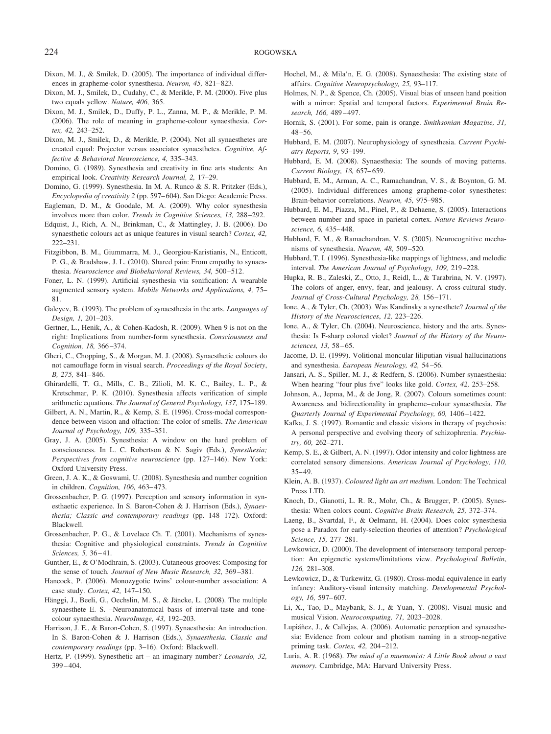- Dixon, M. J., & Smilek, D. (2005). The importance of individual differences in grapheme-color synesthesia. *Neuron*, 45, 821-823.
- Dixon, M. J., Smilek, D., Cudahy, C., & Merikle, P. M. (2000). Five plus two equals yellow. *Nature, 406,* 365.
- Dixon, M. J., Smilek, D., Duffy, P. L., Zanna, M. P., & Merikle, P. M. (2006). The role of meaning in grapheme-colour synaesthesia. *Cortex, 42,* 243–252.
- Dixon, M. J., Smilek, D., & Merikle, P. (2004). Not all synaesthetes are created equal: Projector versus associator synaesthetes. *Cognitive, Affective & Behavioral Neuroscience, 4,* 335–343.
- Domino, G. (1989). Synesthesia and creativity in fine arts students: An empirical look. *Creativity Research Journal, 2,* 17–29.
- Domino, G. (1999). Synesthesia. In M. A. Runco & S. R. Pritzker (Eds.), *Encyclopedia of creativity 2* (pp. 597– 604). San Diego: Academic Press.
- Eagleman, D. M., & Goodale, M. A. (2009). Why color synesthesia involves more than color. *Trends in Cognitive Sciences, 13,* 288 –292.
- Edquist, J., Rich, A. N., Brinkman, C., & Mattingley, J. B. (2006). Do synaesthetic colours act as unique features in visual search? *Cortex, 42,* 222–231.
- Fitzgibbon, B. M., Giummarra, M. J., Georgiou-Karistianis, N., Enticott, P. G., & Bradshaw, J. L. (2010). Shared pain: From empathy to synaesthesia. *Neuroscience and Biobehavioral Reviews, 34,* 500 –512.
- Foner, L. N. (1999). Artificial synesthesia via sonification: A wearable augmented sensory system. *Mobile Networks and Applications, 4,* 75– 81.
- Galeyev, B. (1993). The problem of synaesthesia in the arts. *Languages of Design, 1,* 201–203.
- Gertner, L., Henik, A., & Cohen-Kadosh, R. (2009). When 9 is not on the right: Implications from number-form synesthesia. *Consciousness and Cognition, 18,* 366 –374.
- Gheri, C., Chopping, S., & Morgan, M. J. (2008). Synaesthetic colours do not camouflage form in visual search. *Proceedings of the Royal Society*, *B, 275,* 841– 846.
- Ghirardelli, T. G., Mills, C. B., Zilioli, M. K. C., Bailey, L. P., & Kretschmar, P. K. (2010). Synesthesia affects verification of simple arithmetic equations. *The Journal of General Psychology, 137,* 175–189.
- Gilbert, A. N., Martin, R., & Kemp, S. E. (1996). Cross-modal correspondence between vision and olfaction: The color of smells. *The American Journal of Psychology, 109,* 335–351.
- Gray, J. A. (2005). Synesthesia: A window on the hard problem of consciousness. In L. C. Robertson & N. Sagiv (Eds.), *Synesthesia; Perspectives from cognitive neuroscience* (pp. 127–146). New York: Oxford University Press.
- Green, J. A. K., & Goswami, U. (2008). Synesthesia and number cognition in children. *Cognition, 106,* 463– 473.
- Grossenbacher, P. G. (1997). Perception and sensory information in synesthaetic experience. In S. Baron-Cohen & J. Harrison (Eds.), *Synaesthesia; Classic and contemporary readings* (pp. 148 –172). Oxford: Blackwell.
- Grossenbacher, P. G., & Lovelace Ch. T. (2001). Mechanisms of synesthesia: Cognitive and physiological constraints. *Trends in Cognitive Sciences, 5,* 36 – 41.
- Gunther, E., & O'Modhrain, S. (2003). Cutaneous grooves: Composing for the sense of touch*. Journal of New Music Research, 32,* 369 –381.
- Hancock, P. (2006). Monozygotic twins' colour-number association: A case study. *Cortex, 42,* 147–150.
- Hänggi, J., Beeli, G., Oechslin, M. S., & Jäncke, L. (2008). The multiple synaesthete E. S. –Neuroanatomical basis of interval-taste and tonecolour synaesthesia. *NeuroImage, 43,* 192–203.
- Harrison, J. E., & Baron-Cohen, S. (1997). Synaesthesia: An introduction. In S. Baron-Cohen & J. Harrison (Eds.), *Synaesthesia. Classic and contemporary readings* (pp. 3–16). Oxford: Blackwell.
- Hertz, P. (1999). Synesthetic art an imaginary number*? Leonardo, 32,* 399 – 404.
- Hochel, M., & Mila'n, E. G. (2008). Synaesthesia: The existing state of affairs. *Cognitive Neuropsychology, 25,* 93–117.
- Holmes, N. P., & Spence, Ch. (2005). Visual bias of unseen hand position with a mirror: Spatial and temporal factors. *Experimental Brain Research, 166,* 489 – 497.
- Hornik, S. (2001). For some, pain is orange. *Smithsonian Magazine, 31,* 48 –56.
- Hubbard, E. M. (2007). Neurophysiology of synesthesia. *Current Psychiatry Reports, 9*, 93–199.
- Hubbard, E. M. (2008). Synaesthesia: The sounds of moving patterns. *Current Biology, 18,* 657– 659.
- Hubbard, E. M., Arman, A. C., Ramachandran, V. S., & Boynton, G. M. (2005). Individual differences among grapheme-color synesthetes: Brain-behavior correlations. *Neuron, 45,* 975–985.
- Hubbard, E. M., Piazza, M., Pinel, P., & Dehaene, S. (2005). Interactions between number and space in parietal cortex. *Nature Reviews Neuroscience, 6,* 435– 448.
- Hubbard, E. M., & Ramachandran, V. S. (2005). Neurocognitive mechanisms of synesthesia. *Neuron, 48,* 509 –520.
- Hubbard, T. I. (1996). Synesthesia-like mappings of lightness, and melodic interval. *The American Journal of Psychology, 109,* 219 –228.
- Hupka, R. B., Zaleski, Z., Otto, J., Reidl, L., & Tarabrina, N. V. (1997). The colors of anger, envy, fear, and jealousy. A cross-cultural study. *Journal of Cross-Cultural Psychology, 28,* 156 –171.
- Ione, A., & Tyler, Ch. (2003). Was Kandinsky a synesthete? *Journal of the History of the Neurosciences*, *12,* 223–226.
- Ione, A., & Tyler, Ch. (2004). Neuroscience, history and the arts. Synesthesia: Is F-sharp colored violet? *Journal of the History of the Neurosciences, 13,* 58 – 65.
- Jacome, D. E. (1999). Volitional moncular liliputian visual hallucinations and synesthesia. *European Neurology, 42,* 54 –56.
- Jansari, A. S., Spiller, M. J., & Redfern, S. (2006). Number synaesthesia: When hearing "four plus five" looks like gold. *Cortex, 42,* 253–258.
- Johnson, A., Jepma, M., & de Jong, R. (2007). Colours sometimes count: Awareness and bidirectionality in grapheme– colour synaesthesia. *The Quarterly Journal of Experimental Psychology, 60,* 1406 –1422.
- Kafka, J. S. (1997). Romantic and classic visions in therapy of psychosis: A personal perspective and evolving theory of schizophrenia. *Psychiatry, 60,* 262–271.
- Kemp, S. E., & Gilbert, A. N. (1997). Odor intensity and color lightness are correlated sensory dimensions. *American Journal of Psychology, 110,*  $35 - 49.$
- Klein, A. B. (1937). *Coloured light an art medium.* London: The Technical Press LTD.
- Knoch, D., Gianotti, L. R. R., Mohr, Ch., & Brugger, P. (2005). Synesthesia: When colors count. *Cognitive Brain Research, 25,* 372–374.
- Laeng, B., Svartdal, F., & Oelmann, H. (2004). Does color synesthesia pose a Paradox for early-selection theories of attention? *Psychological Science, 15,* 277–281.
- Lewkowicz, D. (2000). The development of intersensory temporal perception: An epigenetic systems/limitations view. *Psychological Bulletin*, *126,* 281–308.
- Lewkowicz, D., & Turkewitz, G. (1980). Cross-modal equivalence in early infancy: Auditory-visual intensity matching. *Developmental Psychology, 16,* 597– 607.
- Li, X., Tao, D., Maybank, S. J., & Yuan, Y. (2008). Visual music and musical Vision. *Neurocomputing, 71,* 2023–2028.
- Lupiáñez, J., & Callejas, A. (2006). Automatic perception and synaesthesia: Evidence from colour and photism naming in a stroop-negative priming task. *Cortex, 42,* 204 –212.
- Luria, A. R. (1968). *The mind of a mnemonist: A Little Book about a vast memory.* Cambridge, MA: Harvard University Press.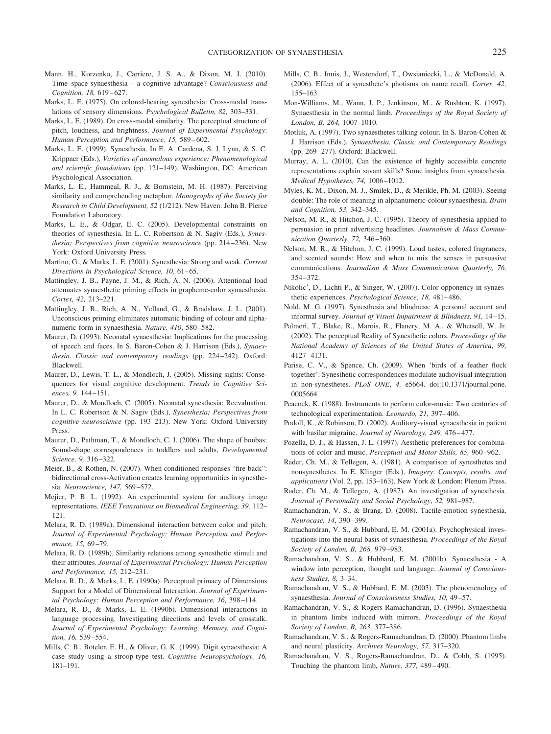- Mann, H., Korzenko, J., Carriere, J. S. A., & Dixon, M. J. (2010). Time–space synaesthesia – a cognitive advantage? *Consciousness and Cognition, 18,* 619 – 627.
- Marks, L. E. (1975). On colored-hearing synesthesia: Cross-modal translations of sensory dimensions. *Psychological Bulletin, 82,* 303–331.
- Marks, L. E. (1989). On cross-modal similarity. The perceptual structure of pitch, loudness, and brightness. *Journal of Experimental Psychology*: *Human Perception and Performance, 15,* 589 – 602.
- Marks, L. E. (1999). Synesthesia. In E. A. Cardena, S. J. Lynn, & S. C. Krippner (Eds.), *Varieties of anomalous experience: Phenomenological and scientific foundations* (pp. 121–149). Washington, DC: American Psychological Association.
- Marks, L. E., Hammeal, R. J., & Bornstein, M. H. (1987). Perceiving similarity and comprehending metaphor. *Monographs of the Society for Research in Child Development, 52* (1/212). New Haven: John B. Pierce Foundation Laboratory.
- Marks, L. E., & Odgar, E. C. (2005). Developmental constraints on theories of synesthesia. In L. C. Robertson & N. Sagiv (Eds.), *Synesthesia; Perspectives from cognitive neuroscience* (pp. 214 –236). New York: Oxford University Press.
- Martino, G., & Marks, L. E. (2001). Synesthesia: Strong and weak. *Current* Directions in Psychological Science, 10, 61-65.
- Mattingley, J. B., Payne, J. M., & Rich, A. N. (2006). Attentional load attenuates synaesthetic priming effects in grapheme-color synaesthesia. *Cortex, 42,* 213–221.
- Mattingley, J. B., Rich, A. N., Yelland, G., & Bradshaw, J. L. (2001). Unconscious priming eliminates automatic binding of colour and alphanumeric form in synaesthesia. *Nature, 410*, 580 –582.
- Maurer, D. (1993). Neonatal synaesthesia: Implications for the processing of speech and faces. In S. Baron-Cohen & J. Harrison (Eds.), *Synaesthesia. Classic and contemporary readings* (pp. 224 –242). Oxford: Blackwell.
- Maurer, D., Lewis, T. L., & Mondloch, J. (2005). Missing sights: Consequences for visual cognitive development. *Trends in Cognitive Sciences, 9,* 144 –151.
- Maurer, D., & Mondloch, C. (2005). Neonatal synesthesia: Reevaluation. In L. C. Robertson & N. Sagiv (Eds.), *Synesthesia; Perspectives from cognitive neuroscience* (pp. 193–213). New York: Oxford University Press.
- Maurer, D., Pathman, T., & Mondloch, C. J. (2006). The shape of boubas: Sound-shape correspondences in toddlers and adults, *Developmental Science, 9,* 316 –322.
- Meier, B., & Rothen, N. (2007). When conditioned responses "fire back": bidirectional cross-Activation creates learning opportunities in synesthesia. *Neuroscience, 147,* 569 –572.
- Mejier, P. B. L. (1992). An experimental system for auditory image representations. *IEEE Transations on Biomedical Engineering, 39,* 112– 121.
- Melara, R. D. (1989a). Dimensional interaction between color and pitch. *Journal of Experimental Psychology: Human Perception and Performance, 15,* 69 –79.
- Melara, R. D. (1989b). Similarity relations among synesthetic stimuli and their attributes. *Journal of Experimental Psychology: Human Perception and Performance, 15,* 212–231.
- Melara, R. D., & Marks, L. E. (1990a). Perceptual primacy of Dimensions Support for a Model of Dimensional Interaction. *Journal of Experimental Psychology: Human Perception and Performance, 16,* 398 –114.
- Melara, R. D., & Marks, L. E. (1990b). Dimensional interactions in language processing. Investigating directions and levels of crosstalk. *Journal of Experimental Psychology: Learning, Memory, and Cognition, 16,* 539 –554.
- Mills, C. B., Boteler, E. H., & Oliver, G. K. (1999). Digit synaesthesia: A case study using a stroop-type test. *Cognitive Neuropsychology, 16,* 181–191.
- Mills, C. B., Innis, J., Westendorf, T., Owsianiecki, L., & McDonald, A. (2006). Effect of a synesthete's photisms on name recall. *Cortex, 42,* 155–163.
- Mon-Williams, M., Wann, J. P., Jenkinson, M., & Rushton, K. (1997). Synaesthesia in the normal limb. *Proceedings of the Royal Society of London, B, 264,* 1007–1010.
- Motluk, A. (1997). Two synaesthetes talking colour. In S. Baron-Cohen & J. Harrison (Eds.), *Synaesthesia. Classic and Contemporary Readings* (pp. 269 –277). Oxford: Blackwell.
- Murray, A. L. (2010). Can the existence of highly accessible concrete representations explain savant skills? Some insights from synaesthesia. *Medical Hypotheses, 74,* 1006 –1012.
- Myles, K. M., Dixon, M. J., Smilek, D., & Merikle, Ph. M. (2003). Seeing double: The role of meaning in alphanumeric-colour synaesthesia. *Brain and Cognition, 53,* 342–345.
- Nelson, M. R., & Hitchon, J. C. (1995). Theory of synesthesia applied to persuasion in print advertising headlines. *Journalism & Mass Communication Quarterly, 72,* 346 –360.
- Nelson, M. R., & Hitchon, J. C. (1999). Loud tastes, colored fragrances, and scented sounds: How and when to mix the senses in persuasive communications. *Journalism & Mass Communication Quarterly, 76,* 354 –372.
- Nikolic', D., Lichti P., & Singer, W. (2007). Color opponency in synaesthetic experiences. *Psychological Science*, 18, 481-486.
- Nold, M. G. (1997). Synesthesia and blindness: A personal account and informal survey. *Journal of Visual Impairment & Blindness, 91,* 14 –15.
- Palmeri, T., Blake, R., Marois, R., Flanery, M. A., & Whetsell, W. Jr. (2002). The perceptual Reality of Synesthetic colors. *Proceedings of the National Academy of Sciences of the United States of America*, *99,* 4127– 4131.
- Parise, C. V., & Spence, Ch. (2009). When 'birds of a feather flock together': Synesthetic correspondences modulate audiovisual integration in non-synesthetes. *PLoS ONE*, *4,* e5664. doi:10.1371/journal.pone. 0005664.
- Peacock, K. (1988). Instruments to perform color-music: Two centuries of technological experimentation. *Leonardo, 21,* 397– 406.
- Podoll, K., & Robinson, D. (2002). Auditory-visual synaesthesia in patient with basilar migraine. *Journal of Neurology*, 249, 476-477.
- Pozella, D. J., & Hassen, J. L. (1997). Aesthetic preferences for combinations of color and music. *Perceptual and Motor Skills, 85,* 960 –962.
- Rader, Ch. M., & Tellegen, A. (1981). A comparison of synesthetes and nonsynesthetes. In E. Klinger (Eds.), *Imagery*: *Concepts, results, and applications* (Vol. 2, pp. 153–163). New York & London: Plenum Press.
- Rader, Ch. M., & Tellegen, A. (1987). An investigation of synesthesia. *Journal of Personality and Social Psychology*, *52,* 981–987.
- Ramachandran, V. S., & Brang, D. (2008). Tactile-emotion synesthesia. *Neurocase, 14*, 390 –399.
- Ramachandran, V. S., & Hubbard, E. M. (2001a). Psychophysical investigations into the neural basis of synaesthesia. *Proceedings of the Royal Society of London, B, 268,* 979 –983.
- Ramachandran, V. S., & Hubbard, E. M. (2001b). Synaesthesia A window into perception, thought and language. *Journal of Consciousness Studies, 8,* 3–34.
- Ramachandran, V. S., & Hubbard, E. M. (2003). The phenomenology of synaesthesia. *Journal of Consciousness Studies, 10,* 49 –57.
- Ramachandran, V. S., & Rogers-Ramachandran, D. (1996). Synaesthesia in phantom limbs induced with mirrors. *Proceedings of the Royal Society of London*, *B, 263,* 377–386.
- Ramachandran, V. S., & Rogers-Ramachandran, D. (2000). Phantom limbs and neural plasticity. *Archives Neurology, 57,* 317–320.
- Ramachandran, V. S., Rogers-Ramachandran, D., & Cobb, S. (1995). Touching the phantom limb, *Nature, 377,* 489 – 490.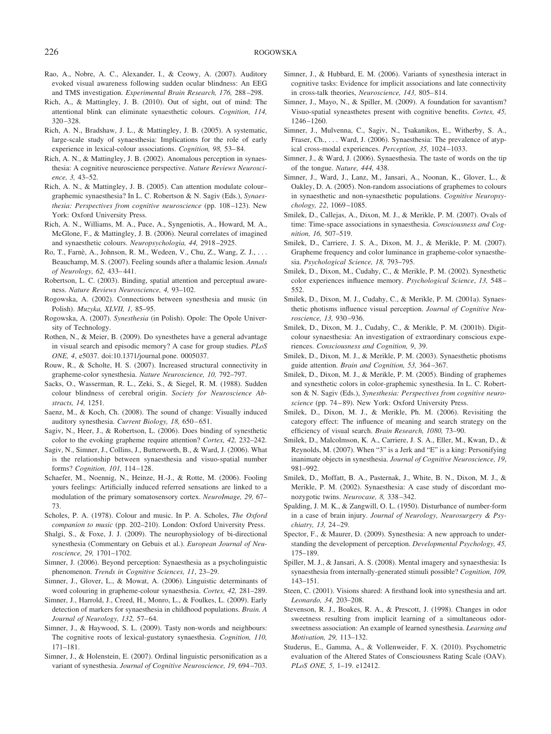- Rao, A., Nobre, A. C., Alexander, I., & Ceowy, A. (2007). Auditory evoked visual awareness following sudden ocular blindness: An EEG and TMS investigation. *Experimental Brain Research, 176,* 288 –298.
- Rich, A., & Mattingley, J. B. (2010). Out of sight, out of mind: The attentional blink can eliminate synaesthetic colours. *Cognition, 114,* 320 –328.
- Rich, A. N., Bradshaw, J. L., & Mattingley, J. B. (2005). A systematic, large-scale study of synaesthesia: Implications for the role of early experience in lexical-colour associations. *Cognition, 98,* 53– 84.
- Rich, A. N., & Mattingley, J. B. (2002). Anomalous perception in synaesthesia: A cognitive neuroscience perspective. *Nature Reviews Neuroscience, 3,* 43–52.
- Rich, A. N., & Mattingley, J. B. (2005). Can attention modulate colour– graphemic synaesthesia? In L. C. Robertson & N. Sagiv (Eds.), *Synaesthesia: Perspectives from cognitive neuroscience* (pp. 108 –123). New York: Oxford University Press.
- Rich, A. N., Williams, M. A., Puce, A., Syngeniotis, A., Howard, M. A., McGlone, F., & Mattingley, J. B. (2006). Neural correlates of imagined and synaesthetic colours. *Neuropsychologia, 44,* 2918 –2925.
- Ro, T., Farnè, A., Johnson, R. M., Wedeen, V., Chu, Z., Wang, Z. J., . . . Beauchamp, M. S. (2007). Feeling sounds after a thalamic lesion. *Annals of Neurology, 62,* 433– 441.
- Robertson, L. C. (2003). Binding, spatial attention and perceptual awareness. *Nature Reviews Neuroscience, 4,* 93–102.
- Rogowska, A. (2002). Connections between synesthesia and music (in Polish). *Muzyka, XLVII, 1,* 85–95.
- Rogowska, A. (2007). *Synesthesia* (in Polish). Opole: The Opole University of Technology.
- Rothen, N., & Meier, B. (2009). Do synesthetes have a general advantage in visual search and episodic memory? A case for group studies. *PLoS ONE, 4*, e5037. doi:10.1371/journal.pone. 0005037.
- Rouw, R., & Scholte, H. S. (2007). Increased structural connectivity in grapheme-color synesthesia. *Nature Neuroscience, 10,* 792–797.
- Sacks, O., Wasserman, R. L., Zeki, S., & Siegel, R. M. (1988). Sudden colour blindness of cerebral origin. *Society for Neuroscience Abstracts, 14,* 1251.
- Saenz, M., & Koch, Ch. (2008). The sound of change: Visually induced auditory synesthesia. *Current Biology, 18,* 650 – 651.
- Sagiv, N., Heer, J., & Robertson, L. (2006). Does binding of synesthetic color to the evoking grapheme require attention? *Cortex, 42,* 232–242.
- Sagiv, N., Simner, J., Collins, J., Butterworth, B., & Ward, J. (2006). What is the relationship between synaesthesia and visuo-spatial number forms? *Cognition, 101,* 114 –128.
- Schaefer, M., Noennig, N., Heinze, H.-J., & Rotte, M. (2006). Fooling yours feelings: Artificially induced referred sensations are linked to a modulation of the primary somatosensory cortex. *NeuroImage, 29,* 67– 73.
- Scholes, P. A. (1978). Colour and music. In P. A. Scholes, *The Oxford companion to music* (pp. 202–210). London: Oxford University Press.
- Shalgi, S., & Foxe, J. J. (2009). The neurophysiology of bi-directional synesthesia (Commentary on Gebuis et al.). *European Journal of Neuroscience, 29,* 1701–1702.
- Simner, J. (2006). Beyond perception: Synaesthesia as a psycholinguistic phenomenon. *Trends in Cognitive Sciences, 11*, 23–29.
- Simner, J., Glover, L., & Mowat, A. (2006). Linguistic determinants of word colouring in grapheme-colour synaesthesia. *Cortex, 42,* 281–289.
- Simner, J., Harrold, J., Creed, H., Monro, L., & Foulkes, L. (2009). Early detection of markers for synaesthesia in childhood populations. *Brain. A Journal of Neurology, 132, 57-64.*
- Simner, J., & Haywood, S. L. (2009). Tasty non-words and neighbours: The cognitive roots of lexical-gustatory synaesthesia. *Cognition, 110,* 171–181.
- Simner, J., & Holenstein, E. (2007). Ordinal linguistic personification as a variant of synesthesia. *Journal of Cognitive Neuroscience, 19,* 694 –703.
- Simner, J., & Hubbard, E. M. (2006). Variants of synesthesia interact in cognitive tasks: Evidence for implicit associations and late connectivity in cross-talk theories, *Neuroscience, 143,* 805– 814.
- Simner, J., Mayo, N., & Spiller, M. (2009). A foundation for savantism? Visuo-spatial syneasthetes present with cognitive benefits. *Cortex, 45,* 1246 –1260.
- Simner, J., Mulvenna, C., Sagiv, N., Tsakanikos, E., Witherby, S. A., Fraser, Ch., . . . Ward, J. (2006). Synaesthesia: The prevalence of atypical cross-modal experiences. *Perception, 35,* 1024 –1033.
- Simner, J., & Ward, J. (2006). Synaesthesia. The taste of words on the tip of the tongue. *Nature, 444,* 438.
- Simner, J., Ward, J., Lanz, M., Jansari, A., Noonan, K., Glover, L., & Oakley, D. A. (2005). Non-random associations of graphemes to colours in synaesthetic and non-synaesthetic populations. *Cognitive Neuropsychology, 22*, 1069 –1085.
- Smilek, D., Callejas, A., Dixon, M. J., & Merikle, P. M. (2007). Ovals of time: Time-space associations in synaesthesia. *Consciousness and Cognition, 16,* 507–519.
- Smilek, D., Carriere, J. S. A., Dixon, M. J., & Merikle, P. M. (2007). Grapheme frequency and color luminance in grapheme-color synaesthesia. *Psychological Science, 18,* 793–795.
- Smilek, D., Dixon, M., Cudahy, C., & Merikle, P. M. (2002). Synesthetic color experiences influence memory. *Psychological Science*, *13,* 548 – 552.
- Smilek, D., Dixon, M. J., Cudahy, C., & Merikle, P. M. (2001a). Synaesthetic photisms influence visual perception. *Journal of Cognitive Neuroscience, 13,* 930 –936.
- Smilek, D., Dixon, M. J., Cudahy, C., & Merikle, P. M. (2001b). Digitcolour synaesthesia: An investigation of extraordinary conscious experiences. *Consciousness and Cognition, 9*, 39.
- Smilek, D., Dixon, M. J., & Merikle, P. M. (2003). Synaesthetic photisms guide attention. *Brain and Cognition, 53,* 364 –367.
- Smilek, D., Dixon, M. J., & Merikle, P. M. (2005). Binding of graphemes and synesthetic colors in color-graphemic synesthesia. In L. C. Robertson & N. Sagiv (Eds.), *Synesthesia: Perspectives from cognitive neuroscience* (pp. 74 – 89). New York: Oxford University Press.
- Smilek, D., Dixon, M. J., & Merikle, Ph. M. (2006). Revisiting the category effect: The influence of meaning and search strategy on the efficiency of visual search. *Brain Research, 1080,* 73–90.
- Smilek, D., Malcolmson, K. A., Carriere, J. S. A., Eller, M., Kwan, D., & Reynolds, M. (2007). When "3" is a Jerk and "E" is a king: Personifying inanimate objects in synesthesia. *Journal of Cognitive Neuroscience, 19*, 981–992.
- Smilek, D., Moffatt, B. A., Pasternak, J., White, B. N., Dixon, M. J., & Merikle, P. M. (2002). Synaesthesia: A case study of discordant monozygotic twins. *Neurocase, 8,* 338 –342.
- Spalding, J. M. K., & Zangwill, O. L. (1950). Disturbance of number-form in a case of brain injury. *Journal of Neurology, Neurosurgery & Psychiatry, 13,* 24 –29.
- Spector, F., & Maurer, D. (2009). Synesthesia: A new approach to understanding the development of perception. *Developmental Psychology, 45,* 175–189.
- Spiller, M. J., & Jansari, A. S. (2008). Mental imagery and synaesthesia: Is synaesthesia from internally-generated stimuli possible? *Cognition, 109,* 143–151.
- Steen, C. (2001). Visions shared: A firsthand look into synesthesia and art. *Leonardo, 34,* 203–208.
- Stevenson, R. J., Boakes, R. A., & Prescott, J. (1998). Changes in odor sweetness resulting from implicit learning of a simultaneous odorsweetness association: An example of learned synesthesia. *Learning and Motivation, 29,* 113–132.
- Studerus, E., Gamma, A., & Vollenweider, F. X. (2010). Psychometric evaluation of the Altered States of Consciousness Rating Scale (OAV). *PLoS ONE, 5,* 1–19. e12412.